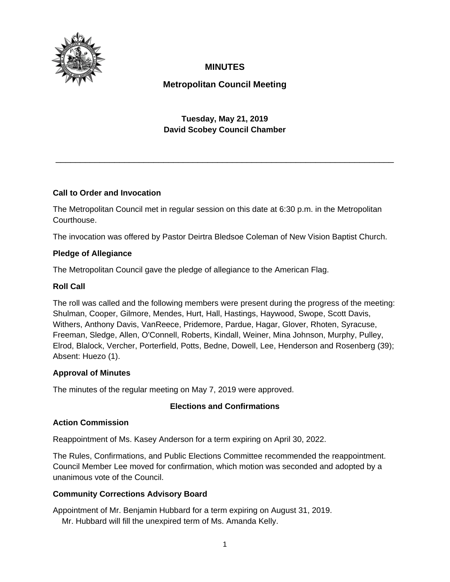

# **MINUTES**

# **Metropolitan Council Meeting**

# **Tuesday, May 21, 2019 David Scobey Council Chamber**

\_\_\_\_\_\_\_\_\_\_\_\_\_\_\_\_\_\_\_\_\_\_\_\_\_\_\_\_\_\_\_\_\_\_\_\_\_\_\_\_\_\_\_\_\_\_\_\_\_\_\_\_\_\_\_\_\_\_\_\_\_\_\_\_\_\_\_\_\_

# **Call to Order and Invocation**

The Metropolitan Council met in regular session on this date at 6:30 p.m. in the Metropolitan Courthouse.

The invocation was offered by Pastor Deirtra Bledsoe Coleman of New Vision Baptist Church.

#### **Pledge of Allegiance**

The Metropolitan Council gave the pledge of allegiance to the American Flag.

#### **Roll Call**

The roll was called and the following members were present during the progress of the meeting: Shulman, Cooper, Gilmore, Mendes, Hurt, Hall, Hastings, Haywood, Swope, Scott Davis, Withers, Anthony Davis, VanReece, Pridemore, Pardue, Hagar, Glover, Rhoten, Syracuse, Freeman, Sledge, Allen, O'Connell, Roberts, Kindall, Weiner, Mina Johnson, Murphy, Pulley, Elrod, Blalock, Vercher, Porterfield, Potts, Bedne, Dowell, Lee, Henderson and Rosenberg (39); Absent: Huezo (1).

#### **Approval of Minutes**

The minutes of the regular meeting on May 7, 2019 were approved.

#### **Elections and Confirmations**

#### **Action Commission**

Reappointment of Ms. Kasey Anderson for a term expiring on April 30, 2022.

The Rules, Confirmations, and Public Elections Committee recommended the reappointment. Council Member Lee moved for confirmation, which motion was seconded and adopted by a unanimous vote of the Council.

# **Community Corrections Advisory Board**

Appointment of Mr. Benjamin Hubbard for a term expiring on August 31, 2019.

Mr. Hubbard will fill the unexpired term of Ms. Amanda Kelly.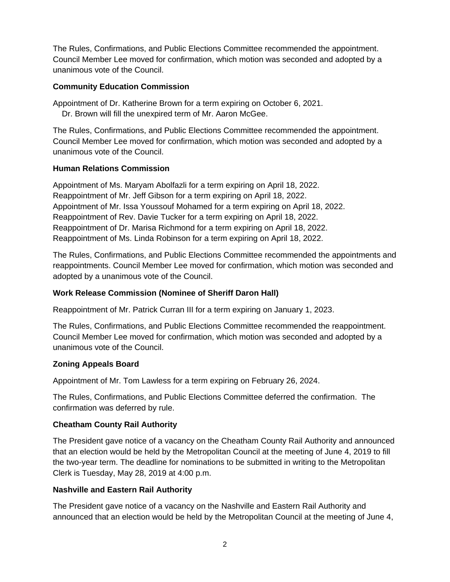The Rules, Confirmations, and Public Elections Committee recommended the appointment. Council Member Lee moved for confirmation, which motion was seconded and adopted by a unanimous vote of the Council.

### **Community Education Commission**

Appointment of Dr. Katherine Brown for a term expiring on October 6, 2021.

Dr. Brown will fill the unexpired term of Mr. Aaron McGee.

The Rules, Confirmations, and Public Elections Committee recommended the appointment. Council Member Lee moved for confirmation, which motion was seconded and adopted by a unanimous vote of the Council.

# **Human Relations Commission**

Appointment of Ms. Maryam Abolfazli for a term expiring on April 18, 2022. Reappointment of Mr. Jeff Gibson for a term expiring on April 18, 2022. Appointment of Mr. Issa Youssouf Mohamed for a term expiring on April 18, 2022. Reappointment of Rev. Davie Tucker for a term expiring on April 18, 2022. Reappointment of Dr. Marisa Richmond for a term expiring on April 18, 2022. Reappointment of Ms. Linda Robinson for a term expiring on April 18, 2022.

The Rules, Confirmations, and Public Elections Committee recommended the appointments and reappointments. Council Member Lee moved for confirmation, which motion was seconded and adopted by a unanimous vote of the Council.

# **Work Release Commission (Nominee of Sheriff Daron Hall)**

Reappointment of Mr. Patrick Curran III for a term expiring on January 1, 2023.

The Rules, Confirmations, and Public Elections Committee recommended the reappointment. Council Member Lee moved for confirmation, which motion was seconded and adopted by a unanimous vote of the Council.

# **Zoning Appeals Board**

Appointment of Mr. Tom Lawless for a term expiring on February 26, 2024.

The Rules, Confirmations, and Public Elections Committee deferred the confirmation. The confirmation was deferred by rule.

# **Cheatham County Rail Authority**

The President gave notice of a vacancy on the Cheatham County Rail Authority and announced that an election would be held by the Metropolitan Council at the meeting of June 4, 2019 to fill the two-year term. The deadline for nominations to be submitted in writing to the Metropolitan Clerk is Tuesday, May 28, 2019 at 4:00 p.m.

# **Nashville and Eastern Rail Authority**

The President gave notice of a vacancy on the Nashville and Eastern Rail Authority and announced that an election would be held by the Metropolitan Council at the meeting of June 4,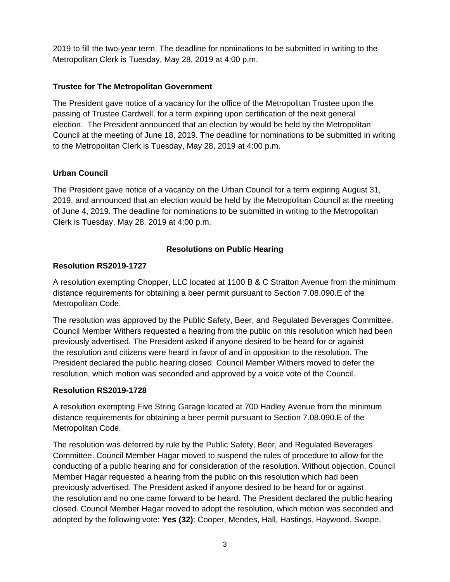2019 to fill the two-year term. The deadline for nominations to be submitted in writing to the Metropolitan Clerk is Tuesday, May 28, 2019 at 4:00 p.m.

# **Trustee for The Metropolitan Government**

The President gave notice of a vacancy for the office of the Metropolitan Trustee upon the passing of Trustee Cardwell, for a term expiring upon certification of the next general election. The President announced that an election by would be held by the Metropolitan Council at the meeting of June 18, 2019. The deadline for nominations to be submitted in writing to the Metropolitan Clerk is Tuesday, May 28, 2019 at 4:00 p.m.

### **Urban Council**

The President gave notice of a vacancy on the Urban Council for a term expiring August 31, 2019, and announced that an election would be held by the Metropolitan Council at the meeting of June 4, 2019. The deadline for nominations to be submitted in writing to the Metropolitan Clerk is Tuesday, May 28, 2019 at 4:00 p.m.

# **Resolutions on Public Hearing**

#### **Resolution RS2019-1727**

A resolution exempting Chopper, LLC located at 1100 B & C Stratton Avenue from the minimum distance requirements for obtaining a beer permit pursuant to Section 7.08.090.E of the Metropolitan Code.

The resolution was approved by the Public Safety, Beer, and Regulated Beverages Committee. Council Member Withers requested a hearing from the public on this resolution which had been previously advertised. The President asked if anyone desired to be heard for or against the resolution and citizens were heard in favor of and in opposition to the resolution. The President declared the public hearing closed. Council Member Withers moved to defer the resolution, which motion was seconded and approved by a voice vote of the Council.

#### **Resolution RS2019-1728**

A resolution exempting Five String Garage located at 700 Hadley Avenue from the minimum distance requirements for obtaining a beer permit pursuant to Section 7.08.090.E of the Metropolitan Code.

The resolution was deferred by rule by the Public Safety, Beer, and Regulated Beverages Committee. Council Member Hagar moved to suspend the rules of procedure to allow for the conducting of a public hearing and for consideration of the resolution. Without objection, Council Member Hagar requested a hearing from the public on this resolution which had been previously advertised. The President asked if anyone desired to be heard for or against the resolution and no one came forward to be heard. The President declared the public hearing closed. Council Member Hagar moved to adopt the resolution, which motion was seconded and adopted by the following vote: **Yes (32)**: Cooper, Mendes, Hall, Hastings, Haywood, Swope,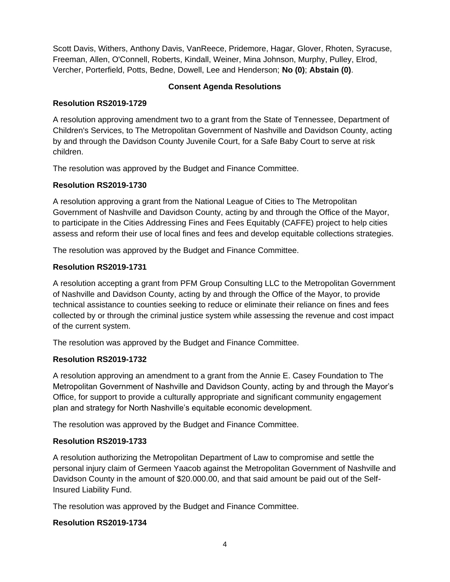Scott Davis, Withers, Anthony Davis, VanReece, Pridemore, Hagar, Glover, Rhoten, Syracuse, Freeman, Allen, O'Connell, Roberts, Kindall, Weiner, Mina Johnson, Murphy, Pulley, Elrod, Vercher, Porterfield, Potts, Bedne, Dowell, Lee and Henderson; **No (0)**; **Abstain (0)**.

# **Consent Agenda Resolutions**

### **Resolution RS2019-1729**

A resolution approving amendment two to a grant from the State of Tennessee, Department of Children's Services, to The Metropolitan Government of Nashville and Davidson County, acting by and through the Davidson County Juvenile Court, for a Safe Baby Court to serve at risk children.

The resolution was approved by the Budget and Finance Committee.

### **Resolution RS2019-1730**

A resolution approving a grant from the National League of Cities to The Metropolitan Government of Nashville and Davidson County, acting by and through the Office of the Mayor, to participate in the Cities Addressing Fines and Fees Equitably (CAFFE) project to help cities assess and reform their use of local fines and fees and develop equitable collections strategies.

The resolution was approved by the Budget and Finance Committee.

### **Resolution RS2019-1731**

A resolution accepting a grant from PFM Group Consulting LLC to the Metropolitan Government of Nashville and Davidson County, acting by and through the Office of the Mayor, to provide technical assistance to counties seeking to reduce or eliminate their reliance on fines and fees collected by or through the criminal justice system while assessing the revenue and cost impact of the current system.

The resolution was approved by the Budget and Finance Committee.

#### **Resolution RS2019-1732**

A resolution approving an amendment to a grant from the Annie E. Casey Foundation to The Metropolitan Government of Nashville and Davidson County, acting by and through the Mayor's Office, for support to provide a culturally appropriate and significant community engagement plan and strategy for North Nashville's equitable economic development.

The resolution was approved by the Budget and Finance Committee.

#### **Resolution RS2019-1733**

A resolution authorizing the Metropolitan Department of Law to compromise and settle the personal injury claim of Germeen Yaacob against the Metropolitan Government of Nashville and Davidson County in the amount of \$20.000.00, and that said amount be paid out of the Self-Insured Liability Fund.

The resolution was approved by the Budget and Finance Committee.

#### **Resolution RS2019-1734**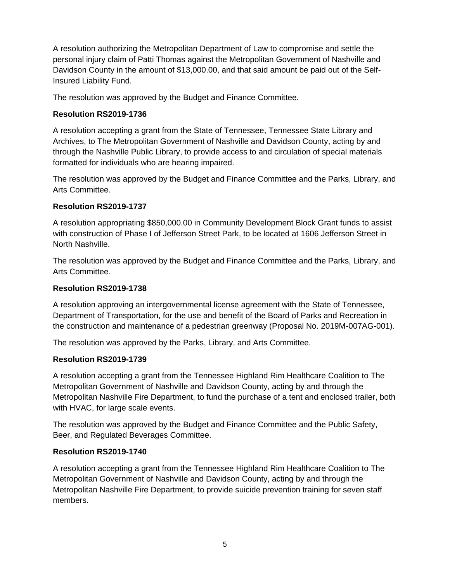A resolution authorizing the Metropolitan Department of Law to compromise and settle the personal injury claim of Patti Thomas against the Metropolitan Government of Nashville and Davidson County in the amount of \$13,000.00, and that said amount be paid out of the Self-Insured Liability Fund.

The resolution was approved by the Budget and Finance Committee.

### **Resolution RS2019-1736**

A resolution accepting a grant from the State of Tennessee, Tennessee State Library and Archives, to The Metropolitan Government of Nashville and Davidson County, acting by and through the Nashville Public Library, to provide access to and circulation of special materials formatted for individuals who are hearing impaired.

The resolution was approved by the Budget and Finance Committee and the Parks, Library, and Arts Committee.

### **Resolution RS2019-1737**

A resolution appropriating \$850,000.00 in Community Development Block Grant funds to assist with construction of Phase I of Jefferson Street Park, to be located at 1606 Jefferson Street in North Nashville.

The resolution was approved by the Budget and Finance Committee and the Parks, Library, and Arts Committee.

# **Resolution RS2019-1738**

A resolution approving an intergovernmental license agreement with the State of Tennessee, Department of Transportation, for the use and benefit of the Board of Parks and Recreation in the construction and maintenance of a pedestrian greenway (Proposal No. 2019M-007AG-001).

The resolution was approved by the Parks, Library, and Arts Committee.

#### **Resolution RS2019-1739**

A resolution accepting a grant from the Tennessee Highland Rim Healthcare Coalition to The Metropolitan Government of Nashville and Davidson County, acting by and through the Metropolitan Nashville Fire Department, to fund the purchase of a tent and enclosed trailer, both with HVAC, for large scale events.

The resolution was approved by the Budget and Finance Committee and the Public Safety, Beer, and Regulated Beverages Committee.

#### **Resolution RS2019-1740**

A resolution accepting a grant from the Tennessee Highland Rim Healthcare Coalition to The Metropolitan Government of Nashville and Davidson County, acting by and through the Metropolitan Nashville Fire Department, to provide suicide prevention training for seven staff members.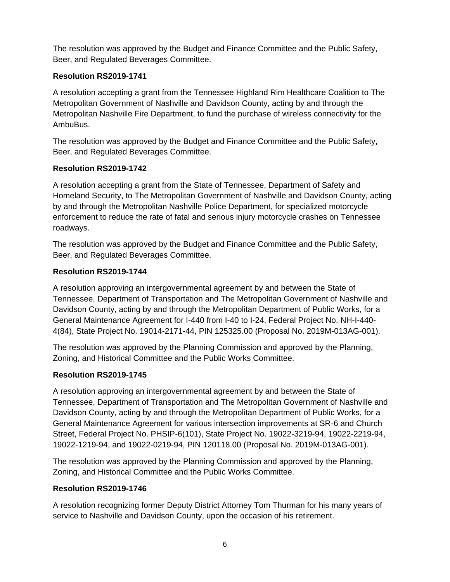The resolution was approved by the Budget and Finance Committee and the Public Safety, Beer, and Regulated Beverages Committee.

# **Resolution RS2019-1741**

A resolution accepting a grant from the Tennessee Highland Rim Healthcare Coalition to The Metropolitan Government of Nashville and Davidson County, acting by and through the Metropolitan Nashville Fire Department, to fund the purchase of wireless connectivity for the AmbuBus.

The resolution was approved by the Budget and Finance Committee and the Public Safety, Beer, and Regulated Beverages Committee.

# **Resolution RS2019-1742**

A resolution accepting a grant from the State of Tennessee, Department of Safety and Homeland Security, to The Metropolitan Government of Nashville and Davidson County, acting by and through the Metropolitan Nashville Police Department, for specialized motorcycle enforcement to reduce the rate of fatal and serious injury motorcycle crashes on Tennessee roadways.

The resolution was approved by the Budget and Finance Committee and the Public Safety, Beer, and Regulated Beverages Committee.

# **Resolution RS2019-1744**

A resolution approving an intergovernmental agreement by and between the State of Tennessee, Department of Transportation and The Metropolitan Government of Nashville and Davidson County, acting by and through the Metropolitan Department of Public Works, for a General Maintenance Agreement for I-440 from I-40 to I-24, Federal Project No. NH-I-440- 4(84), State Project No. 19014-2171-44, PIN 125325.00 (Proposal No. 2019M-013AG-001).

The resolution was approved by the Planning Commission and approved by the Planning, Zoning, and Historical Committee and the Public Works Committee.

# **Resolution RS2019-1745**

A resolution approving an intergovernmental agreement by and between the State of Tennessee, Department of Transportation and The Metropolitan Government of Nashville and Davidson County, acting by and through the Metropolitan Department of Public Works, for a General Maintenance Agreement for various intersection improvements at SR-6 and Church Street, Federal Project No. PHSIP-6(101), State Project No. 19022-3219-94, 19022-2219-94, 19022-1219-94, and 19022-0219-94, PIN 120118.00 (Proposal No. 2019M-013AG-001).

The resolution was approved by the Planning Commission and approved by the Planning, Zoning, and Historical Committee and the Public Works Committee.

# **Resolution RS2019-1746**

A resolution recognizing former Deputy District Attorney Tom Thurman for his many years of service to Nashville and Davidson County, upon the occasion of his retirement.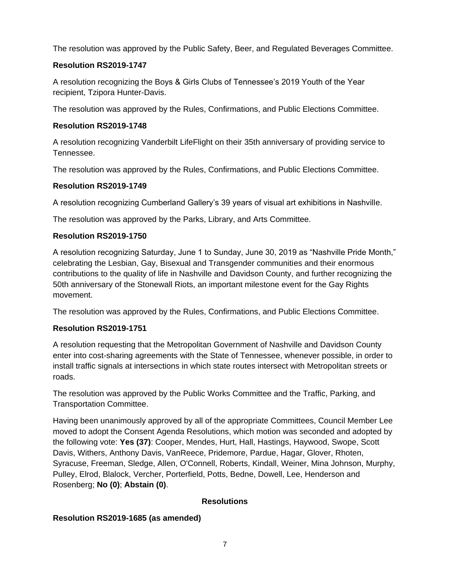The resolution was approved by the Public Safety, Beer, and Regulated Beverages Committee.

# **Resolution RS2019-1747**

A resolution recognizing the Boys & Girls Clubs of Tennessee's 2019 Youth of the Year recipient, Tzipora Hunter-Davis.

The resolution was approved by the Rules, Confirmations, and Public Elections Committee.

# **Resolution RS2019-1748**

A resolution recognizing Vanderbilt LifeFlight on their 35th anniversary of providing service to Tennessee.

The resolution was approved by the Rules, Confirmations, and Public Elections Committee.

# **Resolution RS2019-1749**

A resolution recognizing Cumberland Gallery's 39 years of visual art exhibitions in Nashville.

The resolution was approved by the Parks, Library, and Arts Committee.

# **Resolution RS2019-1750**

A resolution recognizing Saturday, June 1 to Sunday, June 30, 2019 as "Nashville Pride Month," celebrating the Lesbian, Gay, Bisexual and Transgender communities and their enormous contributions to the quality of life in Nashville and Davidson County, and further recognizing the 50th anniversary of the Stonewall Riots, an important milestone event for the Gay Rights movement.

The resolution was approved by the Rules, Confirmations, and Public Elections Committee.

# **Resolution RS2019-1751**

A resolution requesting that the Metropolitan Government of Nashville and Davidson County enter into cost-sharing agreements with the State of Tennessee, whenever possible, in order to install traffic signals at intersections in which state routes intersect with Metropolitan streets or roads.

The resolution was approved by the Public Works Committee and the Traffic, Parking, and Transportation Committee.

Having been unanimously approved by all of the appropriate Committees, Council Member Lee moved to adopt the Consent Agenda Resolutions, which motion was seconded and adopted by the following vote: **Yes (37)**: Cooper, Mendes, Hurt, Hall, Hastings, Haywood, Swope, Scott Davis, Withers, Anthony Davis, VanReece, Pridemore, Pardue, Hagar, Glover, Rhoten, Syracuse, Freeman, Sledge, Allen, O'Connell, Roberts, Kindall, Weiner, Mina Johnson, Murphy, Pulley, Elrod, Blalock, Vercher, Porterfield, Potts, Bedne, Dowell, Lee, Henderson and Rosenberg; **No (0)**; **Abstain (0)**.

# **Resolutions**

# **Resolution RS2019-1685 (as amended)**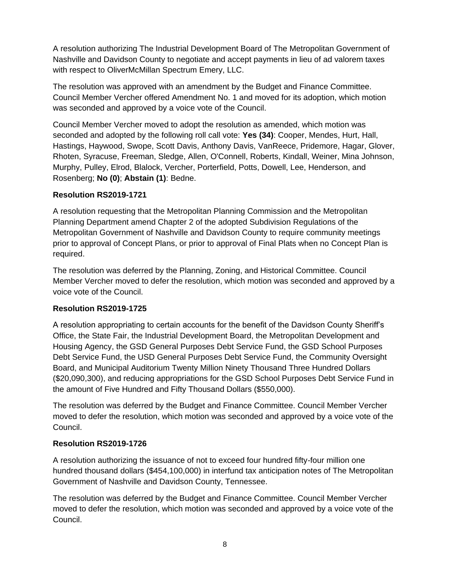A resolution authorizing The Industrial Development Board of The Metropolitan Government of Nashville and Davidson County to negotiate and accept payments in lieu of ad valorem taxes with respect to OliverMcMillan Spectrum Emery, LLC.

The resolution was approved with an amendment by the Budget and Finance Committee. Council Member Vercher offered Amendment No. 1 and moved for its adoption, which motion was seconded and approved by a voice vote of the Council.

Council Member Vercher moved to adopt the resolution as amended, which motion was seconded and adopted by the following roll call vote: **Yes (34)**: Cooper, Mendes, Hurt, Hall, Hastings, Haywood, Swope, Scott Davis, Anthony Davis, VanReece, Pridemore, Hagar, Glover, Rhoten, Syracuse, Freeman, Sledge, Allen, O'Connell, Roberts, Kindall, Weiner, Mina Johnson, Murphy, Pulley, Elrod, Blalock, Vercher, Porterfield, Potts, Dowell, Lee, Henderson, and Rosenberg; **No (0)**; **Abstain (1)**: Bedne.

### **Resolution RS2019-1721**

A resolution requesting that the Metropolitan Planning Commission and the Metropolitan Planning Department amend Chapter 2 of the adopted Subdivision Regulations of the Metropolitan Government of Nashville and Davidson County to require community meetings prior to approval of Concept Plans, or prior to approval of Final Plats when no Concept Plan is required.

The resolution was deferred by the Planning, Zoning, and Historical Committee. Council Member Vercher moved to defer the resolution, which motion was seconded and approved by a voice vote of the Council.

# **Resolution RS2019-1725**

A resolution appropriating to certain accounts for the benefit of the Davidson County Sheriff's Office, the State Fair, the Industrial Development Board, the Metropolitan Development and Housing Agency, the GSD General Purposes Debt Service Fund, the GSD School Purposes Debt Service Fund, the USD General Purposes Debt Service Fund, the Community Oversight Board, and Municipal Auditorium Twenty Million Ninety Thousand Three Hundred Dollars (\$20,090,300), and reducing appropriations for the GSD School Purposes Debt Service Fund in the amount of Five Hundred and Fifty Thousand Dollars (\$550,000).

The resolution was deferred by the Budget and Finance Committee. Council Member Vercher moved to defer the resolution, which motion was seconded and approved by a voice vote of the Council.

# **Resolution RS2019-1726**

A resolution authorizing the issuance of not to exceed four hundred fifty-four million one hundred thousand dollars (\$454,100,000) in interfund tax anticipation notes of The Metropolitan Government of Nashville and Davidson County, Tennessee.

The resolution was deferred by the Budget and Finance Committee. Council Member Vercher moved to defer the resolution, which motion was seconded and approved by a voice vote of the Council.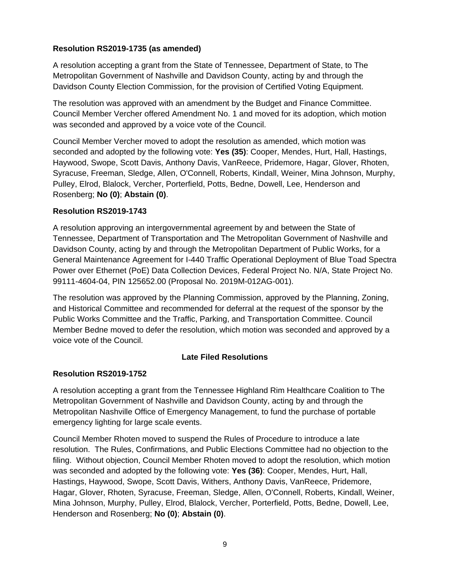### **Resolution RS2019-1735 (as amended)**

A resolution accepting a grant from the State of Tennessee, Department of State, to The Metropolitan Government of Nashville and Davidson County, acting by and through the Davidson County Election Commission, for the provision of Certified Voting Equipment.

The resolution was approved with an amendment by the Budget and Finance Committee. Council Member Vercher offered Amendment No. 1 and moved for its adoption, which motion was seconded and approved by a voice vote of the Council.

Council Member Vercher moved to adopt the resolution as amended, which motion was seconded and adopted by the following vote: **Yes (35)**: Cooper, Mendes, Hurt, Hall, Hastings, Haywood, Swope, Scott Davis, Anthony Davis, VanReece, Pridemore, Hagar, Glover, Rhoten, Syracuse, Freeman, Sledge, Allen, O'Connell, Roberts, Kindall, Weiner, Mina Johnson, Murphy, Pulley, Elrod, Blalock, Vercher, Porterfield, Potts, Bedne, Dowell, Lee, Henderson and Rosenberg; **No (0)**; **Abstain (0)**.

### **Resolution RS2019-1743**

A resolution approving an intergovernmental agreement by and between the State of Tennessee, Department of Transportation and The Metropolitan Government of Nashville and Davidson County, acting by and through the Metropolitan Department of Public Works, for a General Maintenance Agreement for I-440 Traffic Operational Deployment of Blue Toad Spectra Power over Ethernet (PoE) Data Collection Devices, Federal Project No. N/A, State Project No. 99111-4604-04, PIN 125652.00 (Proposal No. 2019M-012AG-001).

The resolution was approved by the Planning Commission, approved by the Planning, Zoning, and Historical Committee and recommended for deferral at the request of the sponsor by the Public Works Committee and the Traffic, Parking, and Transportation Committee. Council Member Bedne moved to defer the resolution, which motion was seconded and approved by a voice vote of the Council.

# **Late Filed Resolutions**

#### **Resolution RS2019-1752**

A resolution accepting a grant from the Tennessee Highland Rim Healthcare Coalition to The Metropolitan Government of Nashville and Davidson County, acting by and through the Metropolitan Nashville Office of Emergency Management, to fund the purchase of portable emergency lighting for large scale events.

Council Member Rhoten moved to suspend the Rules of Procedure to introduce a late resolution. The Rules, Confirmations, and Public Elections Committee had no objection to the filing. Without objection, Council Member Rhoten moved to adopt the resolution, which motion was seconded and adopted by the following vote: **Yes (36)**: Cooper, Mendes, Hurt, Hall, Hastings, Haywood, Swope, Scott Davis, Withers, Anthony Davis, VanReece, Pridemore, Hagar, Glover, Rhoten, Syracuse, Freeman, Sledge, Allen, O'Connell, Roberts, Kindall, Weiner, Mina Johnson, Murphy, Pulley, Elrod, Blalock, Vercher, Porterfield, Potts, Bedne, Dowell, Lee, Henderson and Rosenberg; **No (0)**; **Abstain (0)**.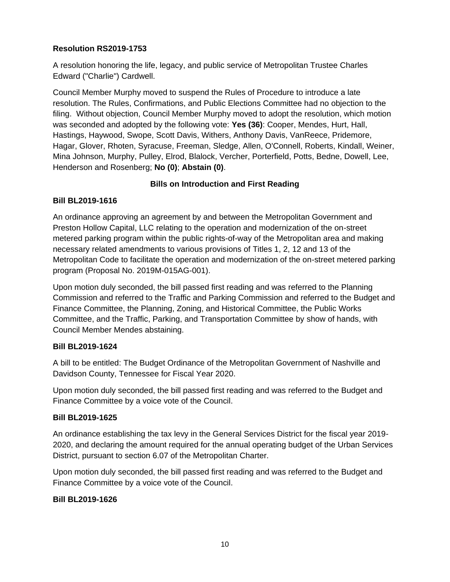### **Resolution RS2019-1753**

A resolution honoring the life, legacy, and public service of Metropolitan Trustee Charles Edward ("Charlie") Cardwell.

Council Member Murphy moved to suspend the Rules of Procedure to introduce a late resolution. The Rules, Confirmations, and Public Elections Committee had no objection to the filing. Without objection, Council Member Murphy moved to adopt the resolution, which motion was seconded and adopted by the following vote: **Yes (36)**: Cooper, Mendes, Hurt, Hall, Hastings, Haywood, Swope, Scott Davis, Withers, Anthony Davis, VanReece, Pridemore, Hagar, Glover, Rhoten, Syracuse, Freeman, Sledge, Allen, O'Connell, Roberts, Kindall, Weiner, Mina Johnson, Murphy, Pulley, Elrod, Blalock, Vercher, Porterfield, Potts, Bedne, Dowell, Lee, Henderson and Rosenberg; **No (0)**; **Abstain (0)**.

# **Bills on Introduction and First Reading**

### **Bill BL2019-1616**

An ordinance approving an agreement by and between the Metropolitan Government and Preston Hollow Capital, LLC relating to the operation and modernization of the on-street metered parking program within the public rights-of-way of the Metropolitan area and making necessary related amendments to various provisions of Titles 1, 2, 12 and 13 of the Metropolitan Code to facilitate the operation and modernization of the on-street metered parking program (Proposal No. 2019M-015AG-001).

Upon motion duly seconded, the bill passed first reading and was referred to the Planning Commission and referred to the Traffic and Parking Commission and referred to the Budget and Finance Committee, the Planning, Zoning, and Historical Committee, the Public Works Committee, and the Traffic, Parking, and Transportation Committee by show of hands, with Council Member Mendes abstaining.

#### **Bill BL2019-1624**

A bill to be entitled: The Budget Ordinance of the Metropolitan Government of Nashville and Davidson County, Tennessee for Fiscal Year 2020.

Upon motion duly seconded, the bill passed first reading and was referred to the Budget and Finance Committee by a voice vote of the Council.

#### **Bill BL2019-1625**

An ordinance establishing the tax levy in the General Services District for the fiscal year 2019- 2020, and declaring the amount required for the annual operating budget of the Urban Services District, pursuant to section 6.07 of the Metropolitan Charter.

Upon motion duly seconded, the bill passed first reading and was referred to the Budget and Finance Committee by a voice vote of the Council.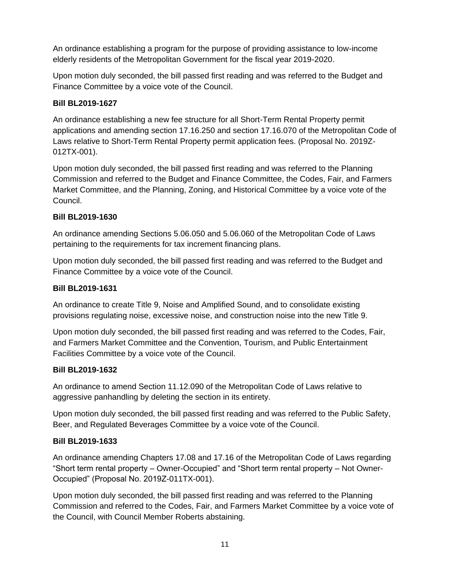An ordinance establishing a program for the purpose of providing assistance to low-income elderly residents of the Metropolitan Government for the fiscal year 2019-2020.

Upon motion duly seconded, the bill passed first reading and was referred to the Budget and Finance Committee by a voice vote of the Council.

### **Bill BL2019-1627**

An ordinance establishing a new fee structure for all Short-Term Rental Property permit applications and amending section 17.16.250 and section 17.16.070 of the Metropolitan Code of Laws relative to Short-Term Rental Property permit application fees. (Proposal No. 2019Z-012TX-001).

Upon motion duly seconded, the bill passed first reading and was referred to the Planning Commission and referred to the Budget and Finance Committee, the Codes, Fair, and Farmers Market Committee, and the Planning, Zoning, and Historical Committee by a voice vote of the Council.

### **Bill BL2019-1630**

An ordinance amending Sections 5.06.050 and 5.06.060 of the Metropolitan Code of Laws pertaining to the requirements for tax increment financing plans.

Upon motion duly seconded, the bill passed first reading and was referred to the Budget and Finance Committee by a voice vote of the Council.

# **Bill BL2019-1631**

An ordinance to create Title 9, Noise and Amplified Sound, and to consolidate existing provisions regulating noise, excessive noise, and construction noise into the new Title 9.

Upon motion duly seconded, the bill passed first reading and was referred to the Codes, Fair, and Farmers Market Committee and the Convention, Tourism, and Public Entertainment Facilities Committee by a voice vote of the Council.

#### **Bill BL2019-1632**

An ordinance to amend Section 11.12.090 of the Metropolitan Code of Laws relative to aggressive panhandling by deleting the section in its entirety.

Upon motion duly seconded, the bill passed first reading and was referred to the Public Safety, Beer, and Regulated Beverages Committee by a voice vote of the Council.

# **Bill BL2019-1633**

An ordinance amending Chapters 17.08 and 17.16 of the Metropolitan Code of Laws regarding "Short term rental property – Owner-Occupied" and "Short term rental property – Not Owner-Occupied" (Proposal No. 2019Z-011TX-001).

Upon motion duly seconded, the bill passed first reading and was referred to the Planning Commission and referred to the Codes, Fair, and Farmers Market Committee by a voice vote of the Council, with Council Member Roberts abstaining.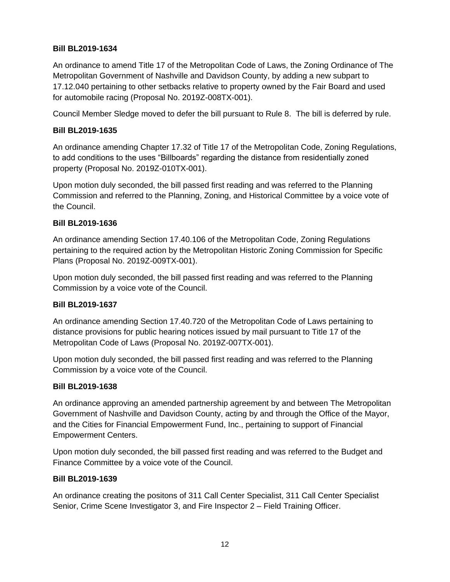### **Bill BL2019-1634**

An ordinance to amend Title 17 of the Metropolitan Code of Laws, the Zoning Ordinance of The Metropolitan Government of Nashville and Davidson County, by adding a new subpart to 17.12.040 pertaining to other setbacks relative to property owned by the Fair Board and used for automobile racing (Proposal No. 2019Z-008TX-001).

Council Member Sledge moved to defer the bill pursuant to Rule 8. The bill is deferred by rule.

#### **Bill BL2019-1635**

An ordinance amending Chapter 17.32 of Title 17 of the Metropolitan Code, Zoning Regulations, to add conditions to the uses "Billboards" regarding the distance from residentially zoned property (Proposal No. 2019Z-010TX-001).

Upon motion duly seconded, the bill passed first reading and was referred to the Planning Commission and referred to the Planning, Zoning, and Historical Committee by a voice vote of the Council.

#### **Bill BL2019-1636**

An ordinance amending Section 17.40.106 of the Metropolitan Code, Zoning Regulations pertaining to the required action by the Metropolitan Historic Zoning Commission for Specific Plans (Proposal No. 2019Z-009TX-001).

Upon motion duly seconded, the bill passed first reading and was referred to the Planning Commission by a voice vote of the Council.

#### **Bill BL2019-1637**

An ordinance amending Section 17.40.720 of the Metropolitan Code of Laws pertaining to distance provisions for public hearing notices issued by mail pursuant to Title 17 of the Metropolitan Code of Laws (Proposal No. 2019Z-007TX-001).

Upon motion duly seconded, the bill passed first reading and was referred to the Planning Commission by a voice vote of the Council.

### **Bill BL2019-1638**

An ordinance approving an amended partnership agreement by and between The Metropolitan Government of Nashville and Davidson County, acting by and through the Office of the Mayor, and the Cities for Financial Empowerment Fund, Inc., pertaining to support of Financial Empowerment Centers.

Upon motion duly seconded, the bill passed first reading and was referred to the Budget and Finance Committee by a voice vote of the Council.

#### **Bill BL2019-1639**

An ordinance creating the positons of 311 Call Center Specialist, 311 Call Center Specialist Senior, Crime Scene Investigator 3, and Fire Inspector 2 – Field Training Officer.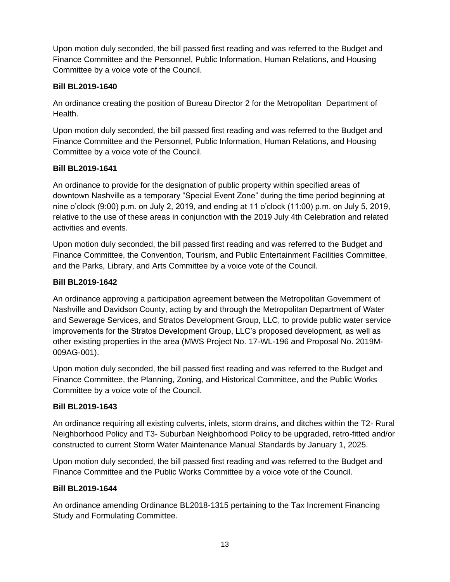Upon motion duly seconded, the bill passed first reading and was referred to the Budget and Finance Committee and the Personnel, Public Information, Human Relations, and Housing Committee by a voice vote of the Council.

### **Bill BL2019-1640**

An ordinance creating the position of Bureau Director 2 for the Metropolitan Department of Health.

Upon motion duly seconded, the bill passed first reading and was referred to the Budget and Finance Committee and the Personnel, Public Information, Human Relations, and Housing Committee by a voice vote of the Council.

### **Bill BL2019-1641**

An ordinance to provide for the designation of public property within specified areas of downtown Nashville as a temporary "Special Event Zone" during the time period beginning at nine o'clock (9:00) p.m. on July 2, 2019, and ending at 11 o'clock (11:00) p.m. on July 5, 2019, relative to the use of these areas in conjunction with the 2019 July 4th Celebration and related activities and events.

Upon motion duly seconded, the bill passed first reading and was referred to the Budget and Finance Committee, the Convention, Tourism, and Public Entertainment Facilities Committee, and the Parks, Library, and Arts Committee by a voice vote of the Council.

### **Bill BL2019-1642**

An ordinance approving a participation agreement between the Metropolitan Government of Nashville and Davidson County, acting by and through the Metropolitan Department of Water and Sewerage Services, and Stratos Development Group, LLC, to provide public water service improvements for the Stratos Development Group, LLC's proposed development, as well as other existing properties in the area (MWS Project No. 17-WL-196 and Proposal No. 2019M-009AG-001).

Upon motion duly seconded, the bill passed first reading and was referred to the Budget and Finance Committee, the Planning, Zoning, and Historical Committee, and the Public Works Committee by a voice vote of the Council.

#### **Bill BL2019-1643**

An ordinance requiring all existing culverts, inlets, storm drains, and ditches within the T2- Rural Neighborhood Policy and T3- Suburban Neighborhood Policy to be upgraded, retro-fitted and/or constructed to current Storm Water Maintenance Manual Standards by January 1, 2025.

Upon motion duly seconded, the bill passed first reading and was referred to the Budget and Finance Committee and the Public Works Committee by a voice vote of the Council.

#### **Bill BL2019-1644**

An ordinance amending Ordinance BL2018-1315 pertaining to the Tax Increment Financing Study and Formulating Committee.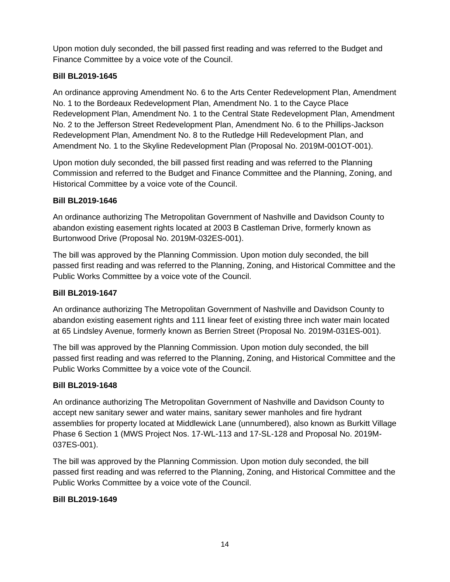Upon motion duly seconded, the bill passed first reading and was referred to the Budget and Finance Committee by a voice vote of the Council.

# **Bill BL2019-1645**

An ordinance approving Amendment No. 6 to the Arts Center Redevelopment Plan, Amendment No. 1 to the Bordeaux Redevelopment Plan, Amendment No. 1 to the Cayce Place Redevelopment Plan, Amendment No. 1 to the Central State Redevelopment Plan, Amendment No. 2 to the Jefferson Street Redevelopment Plan, Amendment No. 6 to the Phillips-Jackson Redevelopment Plan, Amendment No. 8 to the Rutledge Hill Redevelopment Plan, and Amendment No. 1 to the Skyline Redevelopment Plan (Proposal No. 2019M-001OT-001).

Upon motion duly seconded, the bill passed first reading and was referred to the Planning Commission and referred to the Budget and Finance Committee and the Planning, Zoning, and Historical Committee by a voice vote of the Council.

# **Bill BL2019-1646**

An ordinance authorizing The Metropolitan Government of Nashville and Davidson County to abandon existing easement rights located at 2003 B Castleman Drive, formerly known as Burtonwood Drive (Proposal No. 2019M-032ES-001).

The bill was approved by the Planning Commission. Upon motion duly seconded, the bill passed first reading and was referred to the Planning, Zoning, and Historical Committee and the Public Works Committee by a voice vote of the Council.

# **Bill BL2019-1647**

An ordinance authorizing The Metropolitan Government of Nashville and Davidson County to abandon existing easement rights and 111 linear feet of existing three inch water main located at 65 Lindsley Avenue, formerly known as Berrien Street (Proposal No. 2019M-031ES-001).

The bill was approved by the Planning Commission. Upon motion duly seconded, the bill passed first reading and was referred to the Planning, Zoning, and Historical Committee and the Public Works Committee by a voice vote of the Council.

# **Bill BL2019-1648**

An ordinance authorizing The Metropolitan Government of Nashville and Davidson County to accept new sanitary sewer and water mains, sanitary sewer manholes and fire hydrant assemblies for property located at Middlewick Lane (unnumbered), also known as Burkitt Village Phase 6 Section 1 (MWS Project Nos. 17-WL-113 and 17-SL-128 and Proposal No. 2019M-037ES-001).

The bill was approved by the Planning Commission. Upon motion duly seconded, the bill passed first reading and was referred to the Planning, Zoning, and Historical Committee and the Public Works Committee by a voice vote of the Council.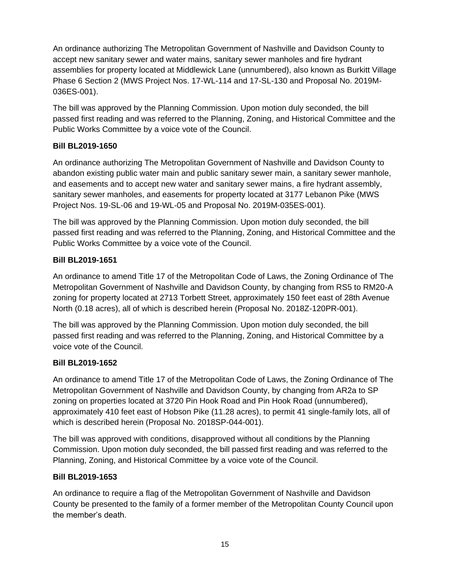An ordinance authorizing The Metropolitan Government of Nashville and Davidson County to accept new sanitary sewer and water mains, sanitary sewer manholes and fire hydrant assemblies for property located at Middlewick Lane (unnumbered), also known as Burkitt Village Phase 6 Section 2 (MWS Project Nos. 17-WL-114 and 17-SL-130 and Proposal No. 2019M-036ES-001).

The bill was approved by the Planning Commission. Upon motion duly seconded, the bill passed first reading and was referred to the Planning, Zoning, and Historical Committee and the Public Works Committee by a voice vote of the Council.

# **Bill BL2019-1650**

An ordinance authorizing The Metropolitan Government of Nashville and Davidson County to abandon existing public water main and public sanitary sewer main, a sanitary sewer manhole, and easements and to accept new water and sanitary sewer mains, a fire hydrant assembly, sanitary sewer manholes, and easements for property located at 3177 Lebanon Pike (MWS Project Nos. 19-SL-06 and 19-WL-05 and Proposal No. 2019M-035ES-001).

The bill was approved by the Planning Commission. Upon motion duly seconded, the bill passed first reading and was referred to the Planning, Zoning, and Historical Committee and the Public Works Committee by a voice vote of the Council.

# **Bill BL2019-1651**

An ordinance to amend Title 17 of the Metropolitan Code of Laws, the Zoning Ordinance of The Metropolitan Government of Nashville and Davidson County, by changing from RS5 to RM20-A zoning for property located at 2713 Torbett Street, approximately 150 feet east of 28th Avenue North (0.18 acres), all of which is described herein (Proposal No. 2018Z-120PR-001).

The bill was approved by the Planning Commission. Upon motion duly seconded, the bill passed first reading and was referred to the Planning, Zoning, and Historical Committee by a voice vote of the Council.

# **Bill BL2019-1652**

An ordinance to amend Title 17 of the Metropolitan Code of Laws, the Zoning Ordinance of The Metropolitan Government of Nashville and Davidson County, by changing from AR2a to SP zoning on properties located at 3720 Pin Hook Road and Pin Hook Road (unnumbered), approximately 410 feet east of Hobson Pike (11.28 acres), to permit 41 single-family lots, all of which is described herein (Proposal No. 2018SP-044-001).

The bill was approved with conditions, disapproved without all conditions by the Planning Commission. Upon motion duly seconded, the bill passed first reading and was referred to the Planning, Zoning, and Historical Committee by a voice vote of the Council.

# **Bill BL2019-1653**

An ordinance to require a flag of the Metropolitan Government of Nashville and Davidson County be presented to the family of a former member of the Metropolitan County Council upon the member's death.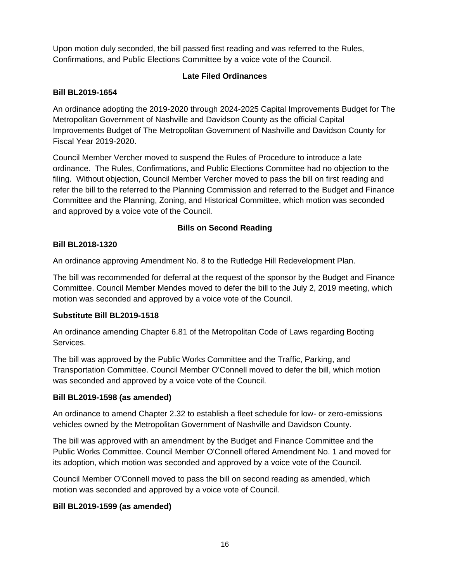Upon motion duly seconded, the bill passed first reading and was referred to the Rules, Confirmations, and Public Elections Committee by a voice vote of the Council.

# **Late Filed Ordinances**

# **Bill BL2019-1654**

An ordinance adopting the 2019-2020 through 2024-2025 Capital Improvements Budget for The Metropolitan Government of Nashville and Davidson County as the official Capital Improvements Budget of The Metropolitan Government of Nashville and Davidson County for Fiscal Year 2019-2020.

Council Member Vercher moved to suspend the Rules of Procedure to introduce a late ordinance. The Rules, Confirmations, and Public Elections Committee had no objection to the filing. Without objection, Council Member Vercher moved to pass the bill on first reading and refer the bill to the referred to the Planning Commission and referred to the Budget and Finance Committee and the Planning, Zoning, and Historical Committee, which motion was seconded and approved by a voice vote of the Council.

# **Bills on Second Reading**

### **Bill BL2018-1320**

An ordinance approving Amendment No. 8 to the Rutledge Hill Redevelopment Plan.

The bill was recommended for deferral at the request of the sponsor by the Budget and Finance Committee. Council Member Mendes moved to defer the bill to the July 2, 2019 meeting, which motion was seconded and approved by a voice vote of the Council.

#### **Substitute Bill BL2019-1518**

An ordinance amending Chapter 6.81 of the Metropolitan Code of Laws regarding Booting Services.

The bill was approved by the Public Works Committee and the Traffic, Parking, and Transportation Committee. Council Member O'Connell moved to defer the bill, which motion was seconded and approved by a voice vote of the Council.

#### **Bill BL2019-1598 (as amended)**

An ordinance to amend Chapter 2.32 to establish a fleet schedule for low- or zero-emissions vehicles owned by the Metropolitan Government of Nashville and Davidson County.

The bill was approved with an amendment by the Budget and Finance Committee and the Public Works Committee. Council Member O'Connell offered Amendment No. 1 and moved for its adoption, which motion was seconded and approved by a voice vote of the Council.

Council Member O'Connell moved to pass the bill on second reading as amended, which motion was seconded and approved by a voice vote of Council.

# **Bill BL2019-1599 (as amended)**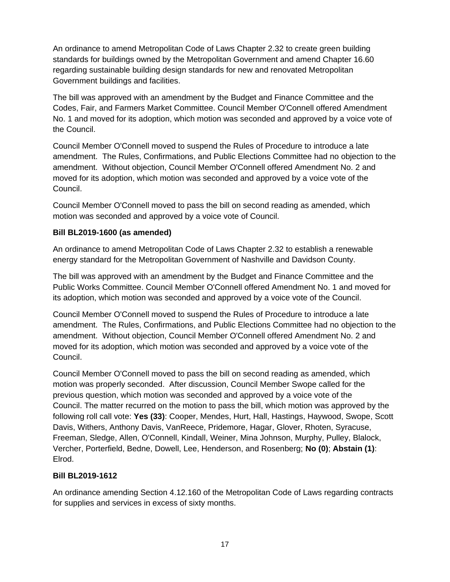An ordinance to amend Metropolitan Code of Laws Chapter 2.32 to create green building standards for buildings owned by the Metropolitan Government and amend Chapter 16.60 regarding sustainable building design standards for new and renovated Metropolitan Government buildings and facilities.

The bill was approved with an amendment by the Budget and Finance Committee and the Codes, Fair, and Farmers Market Committee. Council Member O'Connell offered Amendment No. 1 and moved for its adoption, which motion was seconded and approved by a voice vote of the Council.

Council Member O'Connell moved to suspend the Rules of Procedure to introduce a late amendment. The Rules, Confirmations, and Public Elections Committee had no objection to the amendment. Without objection, Council Member O'Connell offered Amendment No. 2 and moved for its adoption, which motion was seconded and approved by a voice vote of the Council.

Council Member O'Connell moved to pass the bill on second reading as amended, which motion was seconded and approved by a voice vote of Council.

# **Bill BL2019-1600 (as amended)**

An ordinance to amend Metropolitan Code of Laws Chapter 2.32 to establish a renewable energy standard for the Metropolitan Government of Nashville and Davidson County.

The bill was approved with an amendment by the Budget and Finance Committee and the Public Works Committee. Council Member O'Connell offered Amendment No. 1 and moved for its adoption, which motion was seconded and approved by a voice vote of the Council.

Council Member O'Connell moved to suspend the Rules of Procedure to introduce a late amendment. The Rules, Confirmations, and Public Elections Committee had no objection to the amendment. Without objection, Council Member O'Connell offered Amendment No. 2 and moved for its adoption, which motion was seconded and approved by a voice vote of the Council.

Council Member O'Connell moved to pass the bill on second reading as amended, which motion was properly seconded. After discussion, Council Member Swope called for the previous question, which motion was seconded and approved by a voice vote of the Council. The matter recurred on the motion to pass the bill, which motion was approved by the following roll call vote: **Yes (33)**: Cooper, Mendes, Hurt, Hall, Hastings, Haywood, Swope, Scott Davis, Withers, Anthony Davis, VanReece, Pridemore, Hagar, Glover, Rhoten, Syracuse, Freeman, Sledge, Allen, O'Connell, Kindall, Weiner, Mina Johnson, Murphy, Pulley, Blalock, Vercher, Porterfield, Bedne, Dowell, Lee, Henderson, and Rosenberg; **No (0)**; **Abstain (1)**: Elrod.

#### **Bill BL2019-1612**

An ordinance amending Section 4.12.160 of the Metropolitan Code of Laws regarding contracts for supplies and services in excess of sixty months.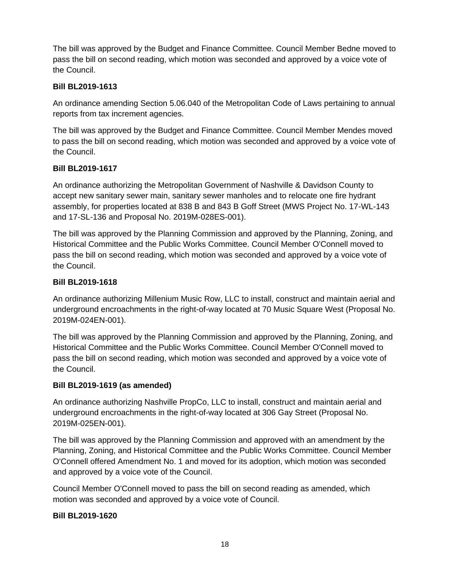The bill was approved by the Budget and Finance Committee. Council Member Bedne moved to pass the bill on second reading, which motion was seconded and approved by a voice vote of the Council.

### **Bill BL2019-1613**

An ordinance amending Section 5.06.040 of the Metropolitan Code of Laws pertaining to annual reports from tax increment agencies.

The bill was approved by the Budget and Finance Committee. Council Member Mendes moved to pass the bill on second reading, which motion was seconded and approved by a voice vote of the Council.

### **Bill BL2019-1617**

An ordinance authorizing the Metropolitan Government of Nashville & Davidson County to accept new sanitary sewer main, sanitary sewer manholes and to relocate one fire hydrant assembly, for properties located at 838 B and 843 B Goff Street (MWS Project No. 17-WL-143 and 17-SL-136 and Proposal No. 2019M-028ES-001).

The bill was approved by the Planning Commission and approved by the Planning, Zoning, and Historical Committee and the Public Works Committee. Council Member O'Connell moved to pass the bill on second reading, which motion was seconded and approved by a voice vote of the Council.

### **Bill BL2019-1618**

An ordinance authorizing Millenium Music Row, LLC to install, construct and maintain aerial and underground encroachments in the right-of-way located at 70 Music Square West (Proposal No. 2019M-024EN-001).

The bill was approved by the Planning Commission and approved by the Planning, Zoning, and Historical Committee and the Public Works Committee. Council Member O'Connell moved to pass the bill on second reading, which motion was seconded and approved by a voice vote of the Council.

#### **Bill BL2019-1619 (as amended)**

An ordinance authorizing Nashville PropCo, LLC to install, construct and maintain aerial and underground encroachments in the right-of-way located at 306 Gay Street (Proposal No. 2019M-025EN-001).

The bill was approved by the Planning Commission and approved with an amendment by the Planning, Zoning, and Historical Committee and the Public Works Committee. Council Member O'Connell offered Amendment No. 1 and moved for its adoption, which motion was seconded and approved by a voice vote of the Council.

Council Member O'Connell moved to pass the bill on second reading as amended, which motion was seconded and approved by a voice vote of Council.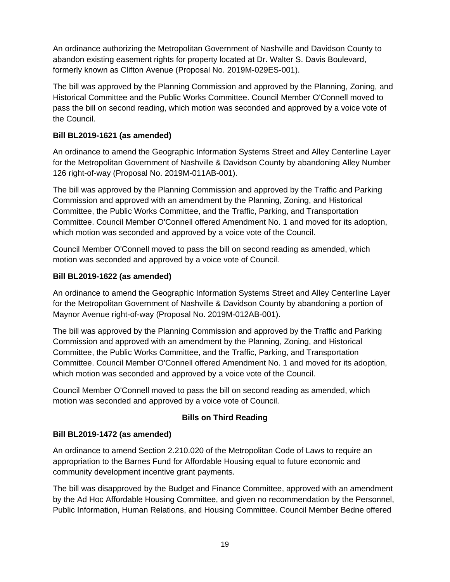An ordinance authorizing the Metropolitan Government of Nashville and Davidson County to abandon existing easement rights for property located at Dr. Walter S. Davis Boulevard, formerly known as Clifton Avenue (Proposal No. 2019M-029ES-001).

The bill was approved by the Planning Commission and approved by the Planning, Zoning, and Historical Committee and the Public Works Committee. Council Member O'Connell moved to pass the bill on second reading, which motion was seconded and approved by a voice vote of the Council.

# **Bill BL2019-1621 (as amended)**

An ordinance to amend the Geographic Information Systems Street and Alley Centerline Layer for the Metropolitan Government of Nashville & Davidson County by abandoning Alley Number 126 right-of-way (Proposal No. 2019M-011AB-001).

The bill was approved by the Planning Commission and approved by the Traffic and Parking Commission and approved with an amendment by the Planning, Zoning, and Historical Committee, the Public Works Committee, and the Traffic, Parking, and Transportation Committee. Council Member O'Connell offered Amendment No. 1 and moved for its adoption, which motion was seconded and approved by a voice vote of the Council.

Council Member O'Connell moved to pass the bill on second reading as amended, which motion was seconded and approved by a voice vote of Council.

# **Bill BL2019-1622 (as amended)**

An ordinance to amend the Geographic Information Systems Street and Alley Centerline Layer for the Metropolitan Government of Nashville & Davidson County by abandoning a portion of Maynor Avenue right-of-way (Proposal No. 2019M-012AB-001).

The bill was approved by the Planning Commission and approved by the Traffic and Parking Commission and approved with an amendment by the Planning, Zoning, and Historical Committee, the Public Works Committee, and the Traffic, Parking, and Transportation Committee. Council Member O'Connell offered Amendment No. 1 and moved for its adoption, which motion was seconded and approved by a voice vote of the Council.

Council Member O'Connell moved to pass the bill on second reading as amended, which motion was seconded and approved by a voice vote of Council.

# **Bills on Third Reading**

# **Bill BL2019-1472 (as amended)**

An ordinance to amend Section 2.210.020 of the Metropolitan Code of Laws to require an appropriation to the Barnes Fund for Affordable Housing equal to future economic and community development incentive grant payments.

The bill was disapproved by the Budget and Finance Committee, approved with an amendment by the Ad Hoc Affordable Housing Committee, and given no recommendation by the Personnel, Public Information, Human Relations, and Housing Committee. Council Member Bedne offered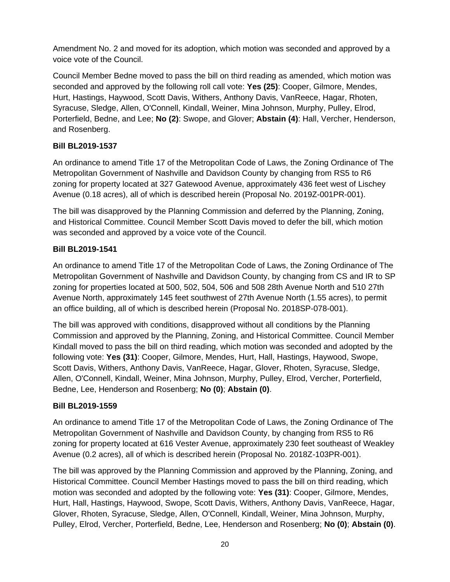Amendment No. 2 and moved for its adoption, which motion was seconded and approved by a voice vote of the Council.

Council Member Bedne moved to pass the bill on third reading as amended, which motion was seconded and approved by the following roll call vote: **Yes (25)**: Cooper, Gilmore, Mendes, Hurt, Hastings, Haywood, Scott Davis, Withers, Anthony Davis, VanReece, Hagar, Rhoten, Syracuse, Sledge, Allen, O'Connell, Kindall, Weiner, Mina Johnson, Murphy, Pulley, Elrod, Porterfield, Bedne, and Lee; **No (2)**: Swope, and Glover; **Abstain (4)**: Hall, Vercher, Henderson, and Rosenberg.

### **Bill BL2019-1537**

An ordinance to amend Title 17 of the Metropolitan Code of Laws, the Zoning Ordinance of The Metropolitan Government of Nashville and Davidson County by changing from RS5 to R6 zoning for property located at 327 Gatewood Avenue, approximately 436 feet west of Lischey Avenue (0.18 acres), all of which is described herein (Proposal No. 2019Z-001PR-001).

The bill was disapproved by the Planning Commission and deferred by the Planning, Zoning, and Historical Committee. Council Member Scott Davis moved to defer the bill, which motion was seconded and approved by a voice vote of the Council.

### **Bill BL2019-1541**

An ordinance to amend Title 17 of the Metropolitan Code of Laws, the Zoning Ordinance of The Metropolitan Government of Nashville and Davidson County, by changing from CS and IR to SP zoning for properties located at 500, 502, 504, 506 and 508 28th Avenue North and 510 27th Avenue North, approximately 145 feet southwest of 27th Avenue North (1.55 acres), to permit an office building, all of which is described herein (Proposal No. 2018SP-078-001).

The bill was approved with conditions, disapproved without all conditions by the Planning Commission and approved by the Planning, Zoning, and Historical Committee. Council Member Kindall moved to pass the bill on third reading, which motion was seconded and adopted by the following vote: **Yes (31)**: Cooper, Gilmore, Mendes, Hurt, Hall, Hastings, Haywood, Swope, Scott Davis, Withers, Anthony Davis, VanReece, Hagar, Glover, Rhoten, Syracuse, Sledge, Allen, O'Connell, Kindall, Weiner, Mina Johnson, Murphy, Pulley, Elrod, Vercher, Porterfield, Bedne, Lee, Henderson and Rosenberg; **No (0)**; **Abstain (0)**.

# **Bill BL2019-1559**

An ordinance to amend Title 17 of the Metropolitan Code of Laws, the Zoning Ordinance of The Metropolitan Government of Nashville and Davidson County, by changing from RS5 to R6 zoning for property located at 616 Vester Avenue, approximately 230 feet southeast of Weakley Avenue (0.2 acres), all of which is described herein (Proposal No. 2018Z-103PR-001).

The bill was approved by the Planning Commission and approved by the Planning, Zoning, and Historical Committee. Council Member Hastings moved to pass the bill on third reading, which motion was seconded and adopted by the following vote: **Yes (31)**: Cooper, Gilmore, Mendes, Hurt, Hall, Hastings, Haywood, Swope, Scott Davis, Withers, Anthony Davis, VanReece, Hagar, Glover, Rhoten, Syracuse, Sledge, Allen, O'Connell, Kindall, Weiner, Mina Johnson, Murphy, Pulley, Elrod, Vercher, Porterfield, Bedne, Lee, Henderson and Rosenberg; **No (0)**; **Abstain (0)**.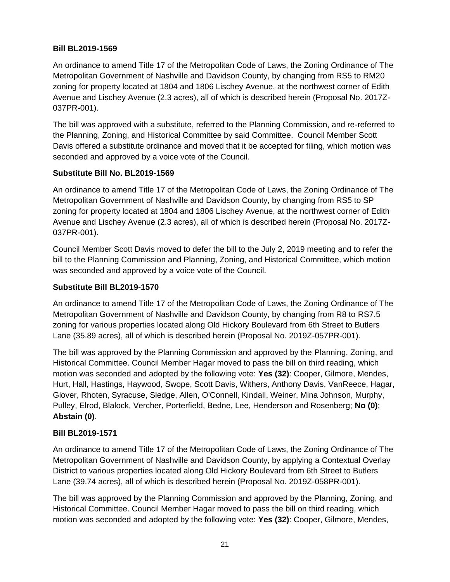### **Bill BL2019-1569**

An ordinance to amend Title 17 of the Metropolitan Code of Laws, the Zoning Ordinance of The Metropolitan Government of Nashville and Davidson County, by changing from RS5 to RM20 zoning for property located at 1804 and 1806 Lischey Avenue, at the northwest corner of Edith Avenue and Lischey Avenue (2.3 acres), all of which is described herein (Proposal No. 2017Z-037PR-001).

The bill was approved with a substitute, referred to the Planning Commission, and re-referred to the Planning, Zoning, and Historical Committee by said Committee. Council Member Scott Davis offered a substitute ordinance and moved that it be accepted for filing, which motion was seconded and approved by a voice vote of the Council.

#### **Substitute Bill No. BL2019-1569**

An ordinance to amend Title 17 of the Metropolitan Code of Laws, the Zoning Ordinance of The Metropolitan Government of Nashville and Davidson County, by changing from RS5 to SP zoning for property located at 1804 and 1806 Lischey Avenue, at the northwest corner of Edith Avenue and Lischey Avenue (2.3 acres), all of which is described herein (Proposal No. 2017Z-037PR-001).

Council Member Scott Davis moved to defer the bill to the July 2, 2019 meeting and to refer the bill to the Planning Commission and Planning, Zoning, and Historical Committee, which motion was seconded and approved by a voice vote of the Council.

### **Substitute Bill BL2019-1570**

An ordinance to amend Title 17 of the Metropolitan Code of Laws, the Zoning Ordinance of The Metropolitan Government of Nashville and Davidson County, by changing from R8 to RS7.5 zoning for various properties located along Old Hickory Boulevard from 6th Street to Butlers Lane (35.89 acres), all of which is described herein (Proposal No. 2019Z-057PR-001).

The bill was approved by the Planning Commission and approved by the Planning, Zoning, and Historical Committee. Council Member Hagar moved to pass the bill on third reading, which motion was seconded and adopted by the following vote: **Yes (32)**: Cooper, Gilmore, Mendes, Hurt, Hall, Hastings, Haywood, Swope, Scott Davis, Withers, Anthony Davis, VanReece, Hagar, Glover, Rhoten, Syracuse, Sledge, Allen, O'Connell, Kindall, Weiner, Mina Johnson, Murphy, Pulley, Elrod, Blalock, Vercher, Porterfield, Bedne, Lee, Henderson and Rosenberg; **No (0)**; **Abstain (0)**.

#### **Bill BL2019-1571**

An ordinance to amend Title 17 of the Metropolitan Code of Laws, the Zoning Ordinance of The Metropolitan Government of Nashville and Davidson County, by applying a Contextual Overlay District to various properties located along Old Hickory Boulevard from 6th Street to Butlers Lane (39.74 acres), all of which is described herein (Proposal No. 2019Z-058PR-001).

The bill was approved by the Planning Commission and approved by the Planning, Zoning, and Historical Committee. Council Member Hagar moved to pass the bill on third reading, which motion was seconded and adopted by the following vote: **Yes (32)**: Cooper, Gilmore, Mendes,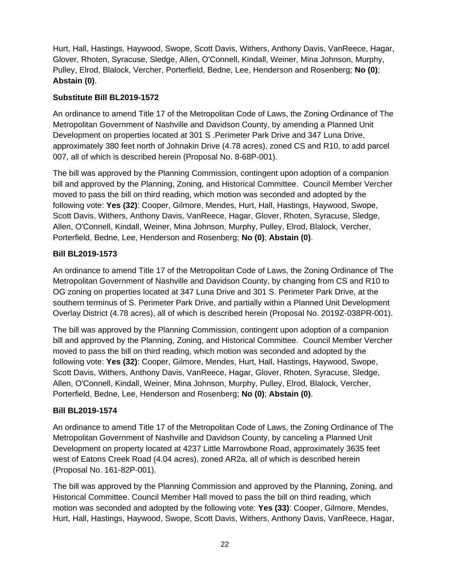Hurt, Hall, Hastings, Haywood, Swope, Scott Davis, Withers, Anthony Davis, VanReece, Hagar, Glover, Rhoten, Syracuse, Sledge, Allen, O'Connell, Kindall, Weiner, Mina Johnson, Murphy, Pulley, Elrod, Blalock, Vercher, Porterfield, Bedne, Lee, Henderson and Rosenberg; **No (0)**; **Abstain (0)**.

### **Substitute Bill BL2019-1572**

An ordinance to amend Title 17 of the Metropolitan Code of Laws, the Zoning Ordinance of The Metropolitan Government of Nashville and Davidson County, by amending a Planned Unit Development on properties located at 301 S .Perimeter Park Drive and 347 Luna Drive, approximately 380 feet north of Johnakin Drive (4.78 acres), zoned CS and R10, to add parcel 007, all of which is described herein (Proposal No. 8-68P-001).

The bill was approved by the Planning Commission, contingent upon adoption of a companion bill and approved by the Planning, Zoning, and Historical Committee. Council Member Vercher moved to pass the bill on third reading, which motion was seconded and adopted by the following vote: **Yes (32)**: Cooper, Gilmore, Mendes, Hurt, Hall, Hastings, Haywood, Swope, Scott Davis, Withers, Anthony Davis, VanReece, Hagar, Glover, Rhoten, Syracuse, Sledge, Allen, O'Connell, Kindall, Weiner, Mina Johnson, Murphy, Pulley, Elrod, Blalock, Vercher, Porterfield, Bedne, Lee, Henderson and Rosenberg; **No (0)**; **Abstain (0)**.

### **Bill BL2019-1573**

An ordinance to amend Title 17 of the Metropolitan Code of Laws, the Zoning Ordinance of The Metropolitan Government of Nashville and Davidson County, by changing from CS and R10 to OG zoning on properties located at 347 Luna Drive and 301 S. Perimeter Park Drive, at the southern terminus of S. Perimeter Park Drive, and partially within a Planned Unit Development Overlay District (4.78 acres), all of which is described herein (Proposal No. 2019Z-038PR-001).

The bill was approved by the Planning Commission, contingent upon adoption of a companion bill and approved by the Planning, Zoning, and Historical Committee. Council Member Vercher moved to pass the bill on third reading, which motion was seconded and adopted by the following vote: **Yes (32)**: Cooper, Gilmore, Mendes, Hurt, Hall, Hastings, Haywood, Swope, Scott Davis, Withers, Anthony Davis, VanReece, Hagar, Glover, Rhoten, Syracuse, Sledge, Allen, O'Connell, Kindall, Weiner, Mina Johnson, Murphy, Pulley, Elrod, Blalock, Vercher, Porterfield, Bedne, Lee, Henderson and Rosenberg; **No (0)**; **Abstain (0)**.

#### **Bill BL2019-1574**

An ordinance to amend Title 17 of the Metropolitan Code of Laws, the Zoning Ordinance of The Metropolitan Government of Nashville and Davidson County, by canceling a Planned Unit Development on property located at 4237 Little Marrowbone Road, approximately 3635 feet west of Eatons Creek Road (4.04 acres), zoned AR2a, all of which is described herein (Proposal No. 161-82P-001).

The bill was approved by the Planning Commission and approved by the Planning, Zoning, and Historical Committee. Council Member Hall moved to pass the bill on third reading, which motion was seconded and adopted by the following vote: **Yes (33)**: Cooper, Gilmore, Mendes, Hurt, Hall, Hastings, Haywood, Swope, Scott Davis, Withers, Anthony Davis, VanReece, Hagar,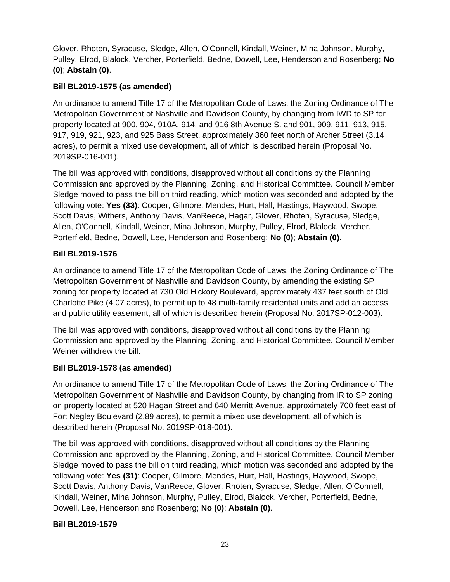Glover, Rhoten, Syracuse, Sledge, Allen, O'Connell, Kindall, Weiner, Mina Johnson, Murphy, Pulley, Elrod, Blalock, Vercher, Porterfield, Bedne, Dowell, Lee, Henderson and Rosenberg; **No (0)**; **Abstain (0)**.

# **Bill BL2019-1575 (as amended)**

An ordinance to amend Title 17 of the Metropolitan Code of Laws, the Zoning Ordinance of The Metropolitan Government of Nashville and Davidson County, by changing from IWD to SP for property located at 900, 904, 910A, 914, and 916 8th Avenue S. and 901, 909, 911, 913, 915, 917, 919, 921, 923, and 925 Bass Street, approximately 360 feet north of Archer Street (3.14 acres), to permit a mixed use development, all of which is described herein (Proposal No. 2019SP-016-001).

The bill was approved with conditions, disapproved without all conditions by the Planning Commission and approved by the Planning, Zoning, and Historical Committee. Council Member Sledge moved to pass the bill on third reading, which motion was seconded and adopted by the following vote: **Yes (33)**: Cooper, Gilmore, Mendes, Hurt, Hall, Hastings, Haywood, Swope, Scott Davis, Withers, Anthony Davis, VanReece, Hagar, Glover, Rhoten, Syracuse, Sledge, Allen, O'Connell, Kindall, Weiner, Mina Johnson, Murphy, Pulley, Elrod, Blalock, Vercher, Porterfield, Bedne, Dowell, Lee, Henderson and Rosenberg; **No (0)**; **Abstain (0)**.

### **Bill BL2019-1576**

An ordinance to amend Title 17 of the Metropolitan Code of Laws, the Zoning Ordinance of The Metropolitan Government of Nashville and Davidson County, by amending the existing SP zoning for property located at 730 Old Hickory Boulevard, approximately 437 feet south of Old Charlotte Pike (4.07 acres), to permit up to 48 multi-family residential units and add an access and public utility easement, all of which is described herein (Proposal No. 2017SP-012-003).

The bill was approved with conditions, disapproved without all conditions by the Planning Commission and approved by the Planning, Zoning, and Historical Committee. Council Member Weiner withdrew the bill.

# **Bill BL2019-1578 (as amended)**

An ordinance to amend Title 17 of the Metropolitan Code of Laws, the Zoning Ordinance of The Metropolitan Government of Nashville and Davidson County, by changing from IR to SP zoning on property located at 520 Hagan Street and 640 Merritt Avenue, approximately 700 feet east of Fort Negley Boulevard (2.89 acres), to permit a mixed use development, all of which is described herein (Proposal No. 2019SP-018-001).

The bill was approved with conditions, disapproved without all conditions by the Planning Commission and approved by the Planning, Zoning, and Historical Committee. Council Member Sledge moved to pass the bill on third reading, which motion was seconded and adopted by the following vote: **Yes (31)**: Cooper, Gilmore, Mendes, Hurt, Hall, Hastings, Haywood, Swope, Scott Davis, Anthony Davis, VanReece, Glover, Rhoten, Syracuse, Sledge, Allen, O'Connell, Kindall, Weiner, Mina Johnson, Murphy, Pulley, Elrod, Blalock, Vercher, Porterfield, Bedne, Dowell, Lee, Henderson and Rosenberg; **No (0)**; **Abstain (0)**.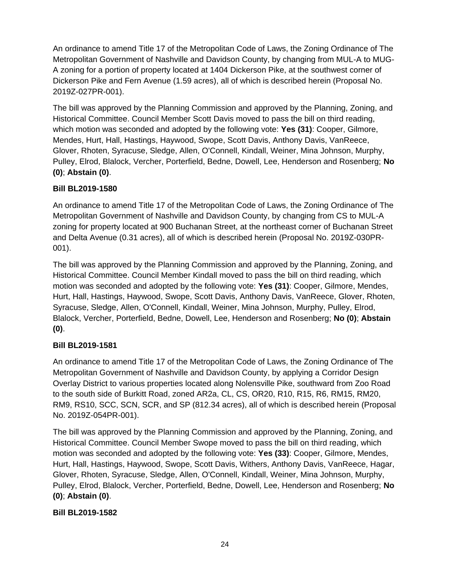An ordinance to amend Title 17 of the Metropolitan Code of Laws, the Zoning Ordinance of The Metropolitan Government of Nashville and Davidson County, by changing from MUL-A to MUG-A zoning for a portion of property located at 1404 Dickerson Pike, at the southwest corner of Dickerson Pike and Fern Avenue (1.59 acres), all of which is described herein (Proposal No. 2019Z-027PR-001).

The bill was approved by the Planning Commission and approved by the Planning, Zoning, and Historical Committee. Council Member Scott Davis moved to pass the bill on third reading, which motion was seconded and adopted by the following vote: **Yes (31)**: Cooper, Gilmore, Mendes, Hurt, Hall, Hastings, Haywood, Swope, Scott Davis, Anthony Davis, VanReece, Glover, Rhoten, Syracuse, Sledge, Allen, O'Connell, Kindall, Weiner, Mina Johnson, Murphy, Pulley, Elrod, Blalock, Vercher, Porterfield, Bedne, Dowell, Lee, Henderson and Rosenberg; **No (0)**; **Abstain (0)**.

# **Bill BL2019-1580**

An ordinance to amend Title 17 of the Metropolitan Code of Laws, the Zoning Ordinance of The Metropolitan Government of Nashville and Davidson County, by changing from CS to MUL-A zoning for property located at 900 Buchanan Street, at the northeast corner of Buchanan Street and Delta Avenue (0.31 acres), all of which is described herein (Proposal No. 2019Z-030PR-001).

The bill was approved by the Planning Commission and approved by the Planning, Zoning, and Historical Committee. Council Member Kindall moved to pass the bill on third reading, which motion was seconded and adopted by the following vote: **Yes (31)**: Cooper, Gilmore, Mendes, Hurt, Hall, Hastings, Haywood, Swope, Scott Davis, Anthony Davis, VanReece, Glover, Rhoten, Syracuse, Sledge, Allen, O'Connell, Kindall, Weiner, Mina Johnson, Murphy, Pulley, Elrod, Blalock, Vercher, Porterfield, Bedne, Dowell, Lee, Henderson and Rosenberg; **No (0)**; **Abstain (0)**.

# **Bill BL2019-1581**

An ordinance to amend Title 17 of the Metropolitan Code of Laws, the Zoning Ordinance of The Metropolitan Government of Nashville and Davidson County, by applying a Corridor Design Overlay District to various properties located along Nolensville Pike, southward from Zoo Road to the south side of Burkitt Road, zoned AR2a, CL, CS, OR20, R10, R15, R6, RM15, RM20, RM9, RS10, SCC, SCN, SCR, and SP (812.34 acres), all of which is described herein (Proposal No. 2019Z-054PR-001).

The bill was approved by the Planning Commission and approved by the Planning, Zoning, and Historical Committee. Council Member Swope moved to pass the bill on third reading, which motion was seconded and adopted by the following vote: **Yes (33)**: Cooper, Gilmore, Mendes, Hurt, Hall, Hastings, Haywood, Swope, Scott Davis, Withers, Anthony Davis, VanReece, Hagar, Glover, Rhoten, Syracuse, Sledge, Allen, O'Connell, Kindall, Weiner, Mina Johnson, Murphy, Pulley, Elrod, Blalock, Vercher, Porterfield, Bedne, Dowell, Lee, Henderson and Rosenberg; **No (0)**; **Abstain (0)**.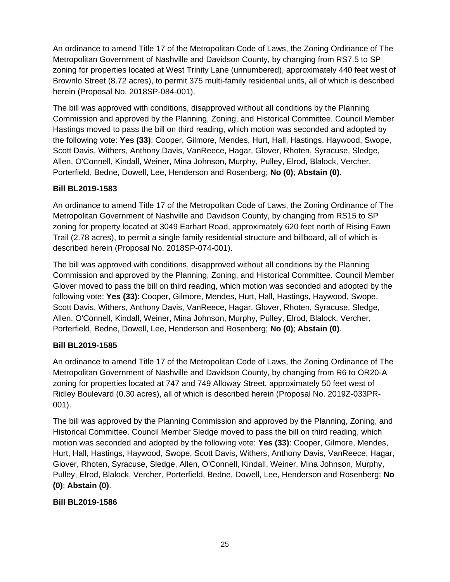An ordinance to amend Title 17 of the Metropolitan Code of Laws, the Zoning Ordinance of The Metropolitan Government of Nashville and Davidson County, by changing from RS7.5 to SP zoning for properties located at West Trinity Lane (unnumbered), approximately 440 feet west of Brownlo Street (8.72 acres), to permit 375 multi-family residential units, all of which is described herein (Proposal No. 2018SP-084-001).

The bill was approved with conditions, disapproved without all conditions by the Planning Commission and approved by the Planning, Zoning, and Historical Committee. Council Member Hastings moved to pass the bill on third reading, which motion was seconded and adopted by the following vote: **Yes (33)**: Cooper, Gilmore, Mendes, Hurt, Hall, Hastings, Haywood, Swope, Scott Davis, Withers, Anthony Davis, VanReece, Hagar, Glover, Rhoten, Syracuse, Sledge, Allen, O'Connell, Kindall, Weiner, Mina Johnson, Murphy, Pulley, Elrod, Blalock, Vercher, Porterfield, Bedne, Dowell, Lee, Henderson and Rosenberg; **No (0)**; **Abstain (0)**.

### **Bill BL2019-1583**

An ordinance to amend Title 17 of the Metropolitan Code of Laws, the Zoning Ordinance of The Metropolitan Government of Nashville and Davidson County, by changing from RS15 to SP zoning for property located at 3049 Earhart Road, approximately 620 feet north of Rising Fawn Trail (2.78 acres), to permit a single family residential structure and billboard, all of which is described herein (Proposal No. 2018SP-074-001).

The bill was approved with conditions, disapproved without all conditions by the Planning Commission and approved by the Planning, Zoning, and Historical Committee. Council Member Glover moved to pass the bill on third reading, which motion was seconded and adopted by the following vote: **Yes (33)**: Cooper, Gilmore, Mendes, Hurt, Hall, Hastings, Haywood, Swope, Scott Davis, Withers, Anthony Davis, VanReece, Hagar, Glover, Rhoten, Syracuse, Sledge, Allen, O'Connell, Kindall, Weiner, Mina Johnson, Murphy, Pulley, Elrod, Blalock, Vercher, Porterfield, Bedne, Dowell, Lee, Henderson and Rosenberg; **No (0)**; **Abstain (0)**.

# **Bill BL2019-1585**

An ordinance to amend Title 17 of the Metropolitan Code of Laws, the Zoning Ordinance of The Metropolitan Government of Nashville and Davidson County, by changing from R6 to OR20-A zoning for properties located at 747 and 749 Alloway Street, approximately 50 feet west of Ridley Boulevard (0.30 acres), all of which is described herein (Proposal No. 2019Z-033PR-001).

The bill was approved by the Planning Commission and approved by the Planning, Zoning, and Historical Committee. Council Member Sledge moved to pass the bill on third reading, which motion was seconded and adopted by the following vote: **Yes (33)**: Cooper, Gilmore, Mendes, Hurt, Hall, Hastings, Haywood, Swope, Scott Davis, Withers, Anthony Davis, VanReece, Hagar, Glover, Rhoten, Syracuse, Sledge, Allen, O'Connell, Kindall, Weiner, Mina Johnson, Murphy, Pulley, Elrod, Blalock, Vercher, Porterfield, Bedne, Dowell, Lee, Henderson and Rosenberg; **No (0)**; **Abstain (0)**.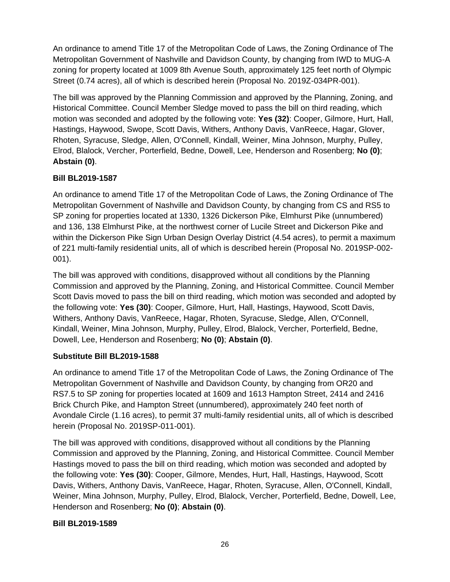An ordinance to amend Title 17 of the Metropolitan Code of Laws, the Zoning Ordinance of The Metropolitan Government of Nashville and Davidson County, by changing from IWD to MUG-A zoning for property located at 1009 8th Avenue South, approximately 125 feet north of Olympic Street (0.74 acres), all of which is described herein (Proposal No. 2019Z-034PR-001).

The bill was approved by the Planning Commission and approved by the Planning, Zoning, and Historical Committee. Council Member Sledge moved to pass the bill on third reading, which motion was seconded and adopted by the following vote: **Yes (32)**: Cooper, Gilmore, Hurt, Hall, Hastings, Haywood, Swope, Scott Davis, Withers, Anthony Davis, VanReece, Hagar, Glover, Rhoten, Syracuse, Sledge, Allen, O'Connell, Kindall, Weiner, Mina Johnson, Murphy, Pulley, Elrod, Blalock, Vercher, Porterfield, Bedne, Dowell, Lee, Henderson and Rosenberg; **No (0)**; **Abstain (0)**.

# **Bill BL2019-1587**

An ordinance to amend Title 17 of the Metropolitan Code of Laws, the Zoning Ordinance of The Metropolitan Government of Nashville and Davidson County, by changing from CS and RS5 to SP zoning for properties located at 1330, 1326 Dickerson Pike, Elmhurst Pike (unnumbered) and 136, 138 Elmhurst Pike, at the northwest corner of Lucile Street and Dickerson Pike and within the Dickerson Pike Sign Urban Design Overlay District (4.54 acres), to permit a maximum of 221 multi-family residential units, all of which is described herein (Proposal No. 2019SP-002- 001).

The bill was approved with conditions, disapproved without all conditions by the Planning Commission and approved by the Planning, Zoning, and Historical Committee. Council Member Scott Davis moved to pass the bill on third reading, which motion was seconded and adopted by the following vote: **Yes (30)**: Cooper, Gilmore, Hurt, Hall, Hastings, Haywood, Scott Davis, Withers, Anthony Davis, VanReece, Hagar, Rhoten, Syracuse, Sledge, Allen, O'Connell, Kindall, Weiner, Mina Johnson, Murphy, Pulley, Elrod, Blalock, Vercher, Porterfield, Bedne, Dowell, Lee, Henderson and Rosenberg; **No (0)**; **Abstain (0)**.

#### **Substitute Bill BL2019-1588**

An ordinance to amend Title 17 of the Metropolitan Code of Laws, the Zoning Ordinance of The Metropolitan Government of Nashville and Davidson County, by changing from OR20 and RS7.5 to SP zoning for properties located at 1609 and 1613 Hampton Street, 2414 and 2416 Brick Church Pike, and Hampton Street (unnumbered), approximately 240 feet north of Avondale Circle (1.16 acres), to permit 37 multi-family residential units, all of which is described herein (Proposal No. 2019SP-011-001).

The bill was approved with conditions, disapproved without all conditions by the Planning Commission and approved by the Planning, Zoning, and Historical Committee. Council Member Hastings moved to pass the bill on third reading, which motion was seconded and adopted by the following vote: **Yes (30)**: Cooper, Gilmore, Mendes, Hurt, Hall, Hastings, Haywood, Scott Davis, Withers, Anthony Davis, VanReece, Hagar, Rhoten, Syracuse, Allen, O'Connell, Kindall, Weiner, Mina Johnson, Murphy, Pulley, Elrod, Blalock, Vercher, Porterfield, Bedne, Dowell, Lee, Henderson and Rosenberg; **No (0)**; **Abstain (0)**.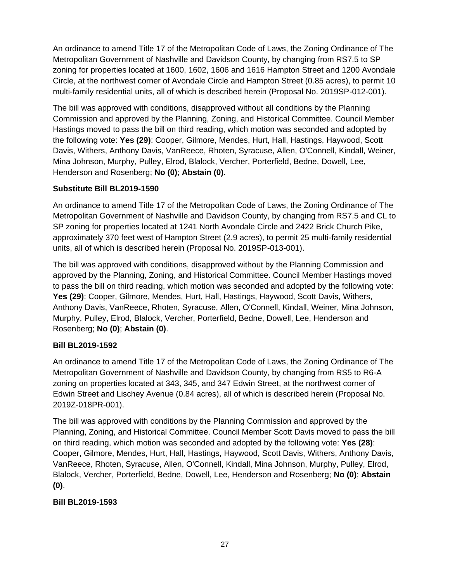An ordinance to amend Title 17 of the Metropolitan Code of Laws, the Zoning Ordinance of The Metropolitan Government of Nashville and Davidson County, by changing from RS7.5 to SP zoning for properties located at 1600, 1602, 1606 and 1616 Hampton Street and 1200 Avondale Circle, at the northwest corner of Avondale Circle and Hampton Street (0.85 acres), to permit 10 multi-family residential units, all of which is described herein (Proposal No. 2019SP-012-001).

The bill was approved with conditions, disapproved without all conditions by the Planning Commission and approved by the Planning, Zoning, and Historical Committee. Council Member Hastings moved to pass the bill on third reading, which motion was seconded and adopted by the following vote: **Yes (29)**: Cooper, Gilmore, Mendes, Hurt, Hall, Hastings, Haywood, Scott Davis, Withers, Anthony Davis, VanReece, Rhoten, Syracuse, Allen, O'Connell, Kindall, Weiner, Mina Johnson, Murphy, Pulley, Elrod, Blalock, Vercher, Porterfield, Bedne, Dowell, Lee, Henderson and Rosenberg; **No (0)**; **Abstain (0)**.

# **Substitute Bill BL2019-1590**

An ordinance to amend Title 17 of the Metropolitan Code of Laws, the Zoning Ordinance of The Metropolitan Government of Nashville and Davidson County, by changing from RS7.5 and CL to SP zoning for properties located at 1241 North Avondale Circle and 2422 Brick Church Pike, approximately 370 feet west of Hampton Street (2.9 acres), to permit 25 multi-family residential units, all of which is described herein (Proposal No. 2019SP-013-001).

The bill was approved with conditions, disapproved without by the Planning Commission and approved by the Planning, Zoning, and Historical Committee. Council Member Hastings moved to pass the bill on third reading, which motion was seconded and adopted by the following vote: **Yes (29)**: Cooper, Gilmore, Mendes, Hurt, Hall, Hastings, Haywood, Scott Davis, Withers, Anthony Davis, VanReece, Rhoten, Syracuse, Allen, O'Connell, Kindall, Weiner, Mina Johnson, Murphy, Pulley, Elrod, Blalock, Vercher, Porterfield, Bedne, Dowell, Lee, Henderson and Rosenberg; **No (0)**; **Abstain (0)**.

# **Bill BL2019-1592**

An ordinance to amend Title 17 of the Metropolitan Code of Laws, the Zoning Ordinance of The Metropolitan Government of Nashville and Davidson County, by changing from RS5 to R6-A zoning on properties located at 343, 345, and 347 Edwin Street, at the northwest corner of Edwin Street and Lischey Avenue (0.84 acres), all of which is described herein (Proposal No. 2019Z-018PR-001).

The bill was approved with conditions by the Planning Commission and approved by the Planning, Zoning, and Historical Committee. Council Member Scott Davis moved to pass the bill on third reading, which motion was seconded and adopted by the following vote: **Yes (28)**: Cooper, Gilmore, Mendes, Hurt, Hall, Hastings, Haywood, Scott Davis, Withers, Anthony Davis, VanReece, Rhoten, Syracuse, Allen, O'Connell, Kindall, Mina Johnson, Murphy, Pulley, Elrod, Blalock, Vercher, Porterfield, Bedne, Dowell, Lee, Henderson and Rosenberg; **No (0)**; **Abstain (0)**.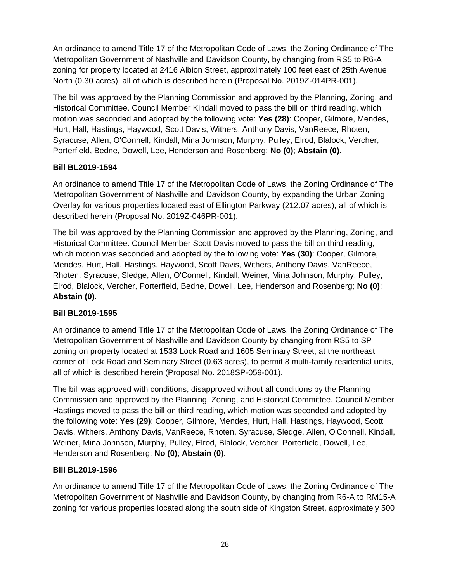An ordinance to amend Title 17 of the Metropolitan Code of Laws, the Zoning Ordinance of The Metropolitan Government of Nashville and Davidson County, by changing from RS5 to R6-A zoning for property located at 2416 Albion Street, approximately 100 feet east of 25th Avenue North (0.30 acres), all of which is described herein (Proposal No. 2019Z-014PR-001).

The bill was approved by the Planning Commission and approved by the Planning, Zoning, and Historical Committee. Council Member Kindall moved to pass the bill on third reading, which motion was seconded and adopted by the following vote: **Yes (28)**: Cooper, Gilmore, Mendes, Hurt, Hall, Hastings, Haywood, Scott Davis, Withers, Anthony Davis, VanReece, Rhoten, Syracuse, Allen, O'Connell, Kindall, Mina Johnson, Murphy, Pulley, Elrod, Blalock, Vercher, Porterfield, Bedne, Dowell, Lee, Henderson and Rosenberg; **No (0)**; **Abstain (0)**.

### **Bill BL2019-1594**

An ordinance to amend Title 17 of the Metropolitan Code of Laws, the Zoning Ordinance of The Metropolitan Government of Nashville and Davidson County, by expanding the Urban Zoning Overlay for various properties located east of Ellington Parkway (212.07 acres), all of which is described herein (Proposal No. 2019Z-046PR-001).

The bill was approved by the Planning Commission and approved by the Planning, Zoning, and Historical Committee. Council Member Scott Davis moved to pass the bill on third reading, which motion was seconded and adopted by the following vote: **Yes (30)**: Cooper, Gilmore, Mendes, Hurt, Hall, Hastings, Haywood, Scott Davis, Withers, Anthony Davis, VanReece, Rhoten, Syracuse, Sledge, Allen, O'Connell, Kindall, Weiner, Mina Johnson, Murphy, Pulley, Elrod, Blalock, Vercher, Porterfield, Bedne, Dowell, Lee, Henderson and Rosenberg; **No (0)**; **Abstain (0)**.

# **Bill BL2019-1595**

An ordinance to amend Title 17 of the Metropolitan Code of Laws, the Zoning Ordinance of The Metropolitan Government of Nashville and Davidson County by changing from RS5 to SP zoning on property located at 1533 Lock Road and 1605 Seminary Street, at the northeast corner of Lock Road and Seminary Street (0.63 acres), to permit 8 multi-family residential units, all of which is described herein (Proposal No. 2018SP-059-001).

The bill was approved with conditions, disapproved without all conditions by the Planning Commission and approved by the Planning, Zoning, and Historical Committee. Council Member Hastings moved to pass the bill on third reading, which motion was seconded and adopted by the following vote: **Yes (29)**: Cooper, Gilmore, Mendes, Hurt, Hall, Hastings, Haywood, Scott Davis, Withers, Anthony Davis, VanReece, Rhoten, Syracuse, Sledge, Allen, O'Connell, Kindall, Weiner, Mina Johnson, Murphy, Pulley, Elrod, Blalock, Vercher, Porterfield, Dowell, Lee, Henderson and Rosenberg; **No (0)**; **Abstain (0)**.

#### **Bill BL2019-1596**

An ordinance to amend Title 17 of the Metropolitan Code of Laws, the Zoning Ordinance of The Metropolitan Government of Nashville and Davidson County, by changing from R6-A to RM15-A zoning for various properties located along the south side of Kingston Street, approximately 500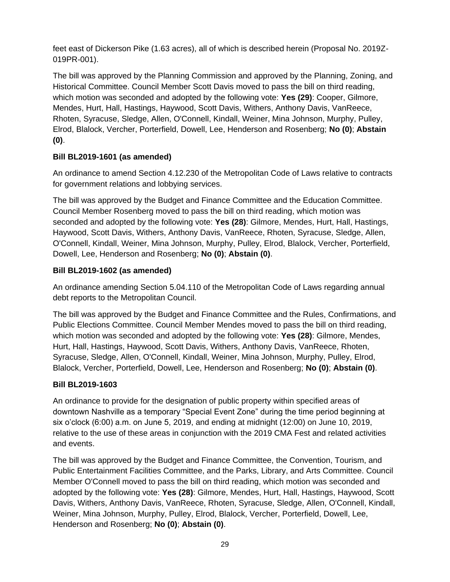feet east of Dickerson Pike (1.63 acres), all of which is described herein (Proposal No. 2019Z-019PR-001).

The bill was approved by the Planning Commission and approved by the Planning, Zoning, and Historical Committee. Council Member Scott Davis moved to pass the bill on third reading, which motion was seconded and adopted by the following vote: **Yes (29)**: Cooper, Gilmore, Mendes, Hurt, Hall, Hastings, Haywood, Scott Davis, Withers, Anthony Davis, VanReece, Rhoten, Syracuse, Sledge, Allen, O'Connell, Kindall, Weiner, Mina Johnson, Murphy, Pulley, Elrod, Blalock, Vercher, Porterfield, Dowell, Lee, Henderson and Rosenberg; **No (0)**; **Abstain (0)**.

# **Bill BL2019-1601 (as amended)**

An ordinance to amend Section 4.12.230 of the Metropolitan Code of Laws relative to contracts for government relations and lobbying services.

The bill was approved by the Budget and Finance Committee and the Education Committee. Council Member Rosenberg moved to pass the bill on third reading, which motion was seconded and adopted by the following vote: **Yes (28)**: Gilmore, Mendes, Hurt, Hall, Hastings, Haywood, Scott Davis, Withers, Anthony Davis, VanReece, Rhoten, Syracuse, Sledge, Allen, O'Connell, Kindall, Weiner, Mina Johnson, Murphy, Pulley, Elrod, Blalock, Vercher, Porterfield, Dowell, Lee, Henderson and Rosenberg; **No (0)**; **Abstain (0)**.

# **Bill BL2019-1602 (as amended)**

An ordinance amending Section 5.04.110 of the Metropolitan Code of Laws regarding annual debt reports to the Metropolitan Council.

The bill was approved by the Budget and Finance Committee and the Rules, Confirmations, and Public Elections Committee. Council Member Mendes moved to pass the bill on third reading, which motion was seconded and adopted by the following vote: **Yes (28)**: Gilmore, Mendes, Hurt, Hall, Hastings, Haywood, Scott Davis, Withers, Anthony Davis, VanReece, Rhoten, Syracuse, Sledge, Allen, O'Connell, Kindall, Weiner, Mina Johnson, Murphy, Pulley, Elrod, Blalock, Vercher, Porterfield, Dowell, Lee, Henderson and Rosenberg; **No (0)**; **Abstain (0)**.

# **Bill BL2019-1603**

An ordinance to provide for the designation of public property within specified areas of downtown Nashville as a temporary "Special Event Zone" during the time period beginning at six o'clock (6:00) a.m. on June 5, 2019, and ending at midnight (12:00) on June 10, 2019, relative to the use of these areas in conjunction with the 2019 CMA Fest and related activities and events.

The bill was approved by the Budget and Finance Committee, the Convention, Tourism, and Public Entertainment Facilities Committee, and the Parks, Library, and Arts Committee. Council Member O'Connell moved to pass the bill on third reading, which motion was seconded and adopted by the following vote: **Yes (28)**: Gilmore, Mendes, Hurt, Hall, Hastings, Haywood, Scott Davis, Withers, Anthony Davis, VanReece, Rhoten, Syracuse, Sledge, Allen, O'Connell, Kindall, Weiner, Mina Johnson, Murphy, Pulley, Elrod, Blalock, Vercher, Porterfield, Dowell, Lee, Henderson and Rosenberg; **No (0)**; **Abstain (0)**.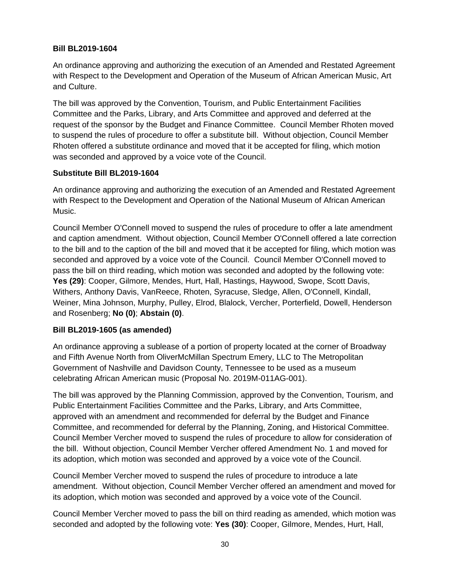### **Bill BL2019-1604**

An ordinance approving and authorizing the execution of an Amended and Restated Agreement with Respect to the Development and Operation of the Museum of African American Music, Art and Culture.

The bill was approved by the Convention, Tourism, and Public Entertainment Facilities Committee and the Parks, Library, and Arts Committee and approved and deferred at the request of the sponsor by the Budget and Finance Committee. Council Member Rhoten moved to suspend the rules of procedure to offer a substitute bill. Without objection, Council Member Rhoten offered a substitute ordinance and moved that it be accepted for filing, which motion was seconded and approved by a voice vote of the Council.

# **Substitute Bill BL2019-1604**

An ordinance approving and authorizing the execution of an Amended and Restated Agreement with Respect to the Development and Operation of the National Museum of African American Music.

Council Member O'Connell moved to suspend the rules of procedure to offer a late amendment and caption amendment. Without objection, Council Member O'Connell offered a late correction to the bill and to the caption of the bill and moved that it be accepted for filing, which motion was seconded and approved by a voice vote of the Council. Council Member O'Connell moved to pass the bill on third reading, which motion was seconded and adopted by the following vote: **Yes (29)**: Cooper, Gilmore, Mendes, Hurt, Hall, Hastings, Haywood, Swope, Scott Davis, Withers, Anthony Davis, VanReece, Rhoten, Syracuse, Sledge, Allen, O'Connell, Kindall, Weiner, Mina Johnson, Murphy, Pulley, Elrod, Blalock, Vercher, Porterfield, Dowell, Henderson and Rosenberg; **No (0)**; **Abstain (0)**.

# **Bill BL2019-1605 (as amended)**

An ordinance approving a sublease of a portion of property located at the corner of Broadway and Fifth Avenue North from OliverMcMillan Spectrum Emery, LLC to The Metropolitan Government of Nashville and Davidson County, Tennessee to be used as a museum celebrating African American music (Proposal No. 2019M-011AG-001).

The bill was approved by the Planning Commission, approved by the Convention, Tourism, and Public Entertainment Facilities Committee and the Parks, Library, and Arts Committee, approved with an amendment and recommended for deferral by the Budget and Finance Committee, and recommended for deferral by the Planning, Zoning, and Historical Committee. Council Member Vercher moved to suspend the rules of procedure to allow for consideration of the bill. Without objection, Council Member Vercher offered Amendment No. 1 and moved for its adoption, which motion was seconded and approved by a voice vote of the Council.

Council Member Vercher moved to suspend the rules of procedure to introduce a late amendment. Without objection, Council Member Vercher offered an amendment and moved for its adoption, which motion was seconded and approved by a voice vote of the Council.

Council Member Vercher moved to pass the bill on third reading as amended, which motion was seconded and adopted by the following vote: **Yes (30)**: Cooper, Gilmore, Mendes, Hurt, Hall,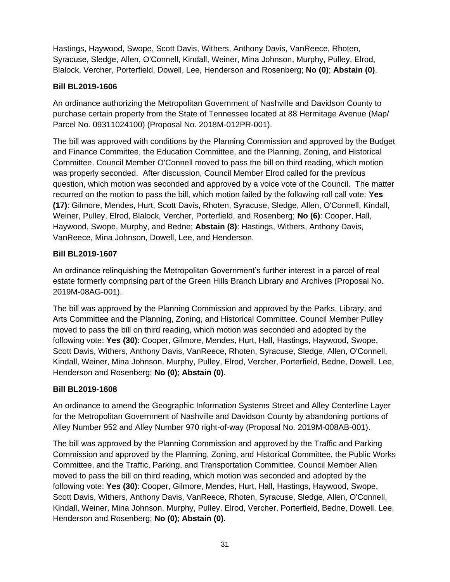Hastings, Haywood, Swope, Scott Davis, Withers, Anthony Davis, VanReece, Rhoten, Syracuse, Sledge, Allen, O'Connell, Kindall, Weiner, Mina Johnson, Murphy, Pulley, Elrod, Blalock, Vercher, Porterfield, Dowell, Lee, Henderson and Rosenberg; **No (0)**; **Abstain (0)**.

# **Bill BL2019-1606**

An ordinance authorizing the Metropolitan Government of Nashville and Davidson County to purchase certain property from the State of Tennessee located at 88 Hermitage Avenue (Map/ Parcel No. 09311024100) (Proposal No. 2018M-012PR-001).

The bill was approved with conditions by the Planning Commission and approved by the Budget and Finance Committee, the Education Committee, and the Planning, Zoning, and Historical Committee. Council Member O'Connell moved to pass the bill on third reading, which motion was properly seconded. After discussion, Council Member Elrod called for the previous question, which motion was seconded and approved by a voice vote of the Council. The matter recurred on the motion to pass the bill, which motion failed by the following roll call vote: **Yes (17)**: Gilmore, Mendes, Hurt, Scott Davis, Rhoten, Syracuse, Sledge, Allen, O'Connell, Kindall, Weiner, Pulley, Elrod, Blalock, Vercher, Porterfield, and Rosenberg; **No (6)**: Cooper, Hall, Haywood, Swope, Murphy, and Bedne; **Abstain (8)**: Hastings, Withers, Anthony Davis, VanReece, Mina Johnson, Dowell, Lee, and Henderson.

### **Bill BL2019-1607**

An ordinance relinquishing the Metropolitan Government's further interest in a parcel of real estate formerly comprising part of the Green Hills Branch Library and Archives (Proposal No. 2019M-08AG-001).

The bill was approved by the Planning Commission and approved by the Parks, Library, and Arts Committee and the Planning, Zoning, and Historical Committee. Council Member Pulley moved to pass the bill on third reading, which motion was seconded and adopted by the following vote: **Yes (30)**: Cooper, Gilmore, Mendes, Hurt, Hall, Hastings, Haywood, Swope, Scott Davis, Withers, Anthony Davis, VanReece, Rhoten, Syracuse, Sledge, Allen, O'Connell, Kindall, Weiner, Mina Johnson, Murphy, Pulley, Elrod, Vercher, Porterfield, Bedne, Dowell, Lee, Henderson and Rosenberg; **No (0)**; **Abstain (0)**.

#### **Bill BL2019-1608**

An ordinance to amend the Geographic Information Systems Street and Alley Centerline Layer for the Metropolitan Government of Nashville and Davidson County by abandoning portions of Alley Number 952 and Alley Number 970 right-of-way (Proposal No. 2019M-008AB-001).

The bill was approved by the Planning Commission and approved by the Traffic and Parking Commission and approved by the Planning, Zoning, and Historical Committee, the Public Works Committee, and the Traffic, Parking, and Transportation Committee. Council Member Allen moved to pass the bill on third reading, which motion was seconded and adopted by the following vote: **Yes (30)**: Cooper, Gilmore, Mendes, Hurt, Hall, Hastings, Haywood, Swope, Scott Davis, Withers, Anthony Davis, VanReece, Rhoten, Syracuse, Sledge, Allen, O'Connell, Kindall, Weiner, Mina Johnson, Murphy, Pulley, Elrod, Vercher, Porterfield, Bedne, Dowell, Lee, Henderson and Rosenberg; **No (0)**; **Abstain (0)**.